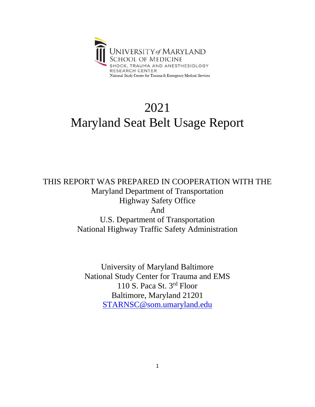

## 2021 Maryland Seat Belt Usage Report

THIS REPORT WAS PREPARED IN COOPERATION WITH THE Maryland Department of Transportation Highway Safety Office And U.S. Department of Transportation National Highway Traffic Safety Administration

> University of Maryland Baltimore National Study Center for Trauma and EMS 110 S. Paca St. 3rd Floor Baltimore, Maryland 21201 [STARNSC@som.umaryland.edu](mailto:STARNSC@som.umaryland.edu)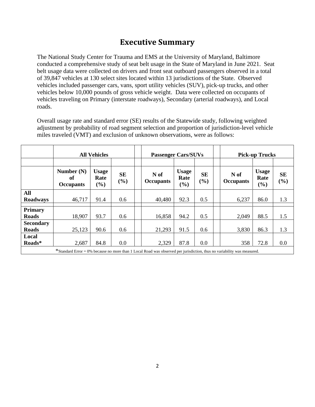## **Executive Summary**

The National Study Center for Trauma and EMS at the University of Maryland, Baltimore conducted a comprehensive study of seat belt usage in the State of Maryland in June 2021. Seat belt usage data were collected on drivers and front seat outboard passengers observed in a total of 39,847 vehicles at 130 select sites located within 13 jurisdictions of the State. Observed vehicles included passenger cars, vans, sport utility vehicles (SUV), pick-up trucks, and other vehicles below 10,000 pounds of gross vehicle weight. Data were collected on occupants of vehicles traveling on Primary (interstate roadways), Secondary (arterial roadways), and Local roads.

Overall usage rate and standard error (SE) results of the Statewide study, following weighted adjustment by probability of road segment selection and proportion of jurisdiction-level vehicle miles traveled (VMT) and exclusion of unknown observations, were as follows:

|                  | <b>All Vehicles</b>                                                                                                     |                      |                  |                          | <b>Passenger Cars/SUVs</b> |                              |  | <b>Pick-up Trucks</b>    |                      |                  |
|------------------|-------------------------------------------------------------------------------------------------------------------------|----------------------|------------------|--------------------------|----------------------------|------------------------------|--|--------------------------|----------------------|------------------|
|                  | Number $(N)$<br>of                                                                                                      | <b>Usage</b><br>Rate | <b>SE</b><br>(%) | N of<br><b>Occupants</b> | <b>Usage</b><br>Rate       | <b>SE</b><br>$\mathcal{O}_0$ |  | N of<br><b>Occupants</b> | <b>Usage</b><br>Rate | <b>SE</b><br>(%) |
|                  | <b>Occupants</b>                                                                                                        | $(\%)$               |                  |                          | (%)                        |                              |  |                          | (%)                  |                  |
| All              |                                                                                                                         |                      |                  |                          |                            |                              |  |                          |                      |                  |
| <b>Roadways</b>  | 46,717                                                                                                                  | 91.4                 | 0.6              | 40,480                   | 92.3                       | 0.5                          |  | 6,237                    | 86.0                 | 1.3              |
| <b>Primary</b>   |                                                                                                                         |                      |                  |                          |                            |                              |  |                          |                      |                  |
| <b>Roads</b>     | 18,907                                                                                                                  | 93.7                 | 0.6              | 16,858                   | 94.2                       | 0.5                          |  | 2,049                    | 88.5                 | 1.5              |
| <b>Secondary</b> |                                                                                                                         |                      |                  |                          |                            |                              |  |                          |                      |                  |
| <b>Roads</b>     | 25,123                                                                                                                  | 90.6                 | 0.6              | 21,293                   | 91.5                       | 0.6                          |  | 3,830                    | 86.3                 | 1.3              |
| Local            |                                                                                                                         |                      |                  |                          |                            |                              |  |                          |                      |                  |
| Roads*           | 2,687                                                                                                                   | 84.8                 | 0.0              | 2,329                    | 87.8                       | 0.0                          |  | 358                      | 72.8                 | 0.0              |
|                  | *Standard Error = 0% because no more than 1 Local Road was observed per jurisdiction, thus no variability was measured. |                      |                  |                          |                            |                              |  |                          |                      |                  |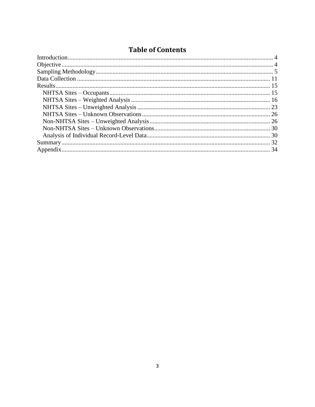### **Table of Contents**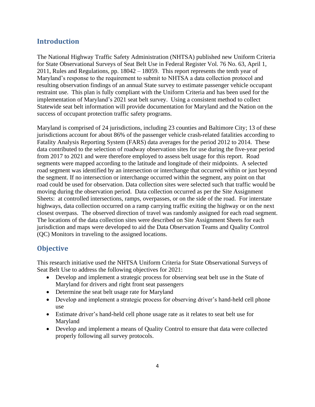#### <span id="page-3-0"></span>**Introduction**

The National Highway Traffic Safety Administration (NHTSA) published new Uniform Criteria for State Observational Surveys of Seat Belt Use in Federal Register Vol. 76 No. 63, April 1, 2011, Rules and Regulations, pp. 18042 – 18059. This report represents the tenth year of Maryland's response to the requirement to submit to NHTSA a data collection protocol and resulting observation findings of an annual State survey to estimate passenger vehicle occupant restraint use. This plan is fully compliant with the Uniform Criteria and has been used for the implementation of Maryland's 2021 seat belt survey. Using a consistent method to collect Statewide seat belt information will provide documentation for Maryland and the Nation on the success of occupant protection traffic safety programs.

Maryland is comprised of 24 jurisdictions, including 23 counties and Baltimore City; 13 of these jurisdictions account for about 86% of the passenger vehicle crash-related fatalities according to Fatality Analysis Reporting System (FARS) data averages for the period 2012 to 2014. These data contributed to the selection of roadway observation sites for use during the five-year period from 2017 to 2021 and were therefore employed to assess belt usage for this report. Road segments were mapped according to the latitude and longitude of their midpoints. A selected road segment was identified by an intersection or interchange that occurred within or just beyond the segment. If no intersection or interchange occurred within the segment, any point on that road could be used for observation. Data collection sites were selected such that traffic would be moving during the observation period. Data collection occurred as per the Site Assignment Sheets: at controlled intersections, ramps, overpasses, or on the side of the road. For interstate highways, data collection occurred on a ramp carrying traffic exiting the highway or on the next closest overpass. The observed direction of travel was randomly assigned for each road segment. The locations of the data collection sites were described on Site Assignment Sheets for each jurisdiction and maps were developed to aid the Data Observation Teams and Quality Control (QC) Monitors in traveling to the assigned locations.

#### <span id="page-3-1"></span>**Objective**

This research initiative used the NHTSA Uniform Criteria for State Observational Surveys of Seat Belt Use to address the following objectives for 2021:

- Develop and implement a strategic process for observing seat belt use in the State of Maryland for drivers and right front seat passengers
- Determine the seat belt usage rate for Maryland
- Develop and implement a strategic process for observing driver's hand-held cell phone use
- Estimate driver's hand-held cell phone usage rate as it relates to seat belt use for Maryland
- Develop and implement a means of Quality Control to ensure that data were collected properly following all survey protocols.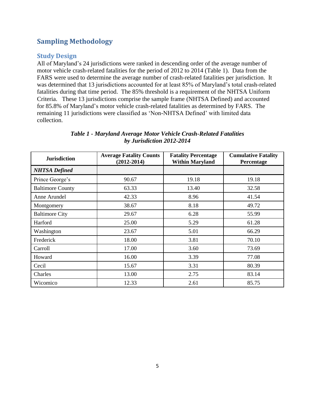### <span id="page-4-0"></span>**Sampling Methodology**

#### **Study Design**

All of Maryland's 24 jurisdictions were ranked in descending order of the average number of motor vehicle crash-related fatalities for the period of 2012 to 2014 (Table 1). Data from the FARS were used to determine the average number of crash-related fatalities per jurisdiction. It was determined that 13 jurisdictions accounted for at least 85% of Maryland's total crash-related fatalities during that time period. The 85% threshold is a requirement of the NHTSA Uniform Criteria. These 13 jurisdictions comprise the sample frame (NHTSA Defined) and accounted for 85.8% of Maryland's motor vehicle crash-related fatalities as determined by FARS. The remaining 11 jurisdictions were classified as 'Non-NHTSA Defined' with limited data collection.

| <b>Jurisdiction</b>     | <b>Average Fatality Counts</b><br>$(2012 - 2014)$ | <b>Fatality Percentage</b><br><b>Within Maryland</b> | <b>Cumulative Fatality</b><br>Percentage |  |
|-------------------------|---------------------------------------------------|------------------------------------------------------|------------------------------------------|--|
| <b>NHTSA</b> Defined    |                                                   |                                                      |                                          |  |
| Prince George's         | 90.67                                             | 19.18                                                | 19.18                                    |  |
| <b>Baltimore County</b> | 63.33                                             | 13.40                                                | 32.58                                    |  |
| Anne Arundel            | 42.33                                             | 8.96                                                 | 41.54                                    |  |
| Montgomery              | 38.67                                             | 8.18                                                 | 49.72                                    |  |
| <b>Baltimore City</b>   | 29.67                                             | 6.28                                                 | 55.99                                    |  |
| Harford                 | 25.00                                             | 5.29                                                 | 61.28                                    |  |
| Washington              | 23.67                                             | 5.01                                                 | 66.29                                    |  |
| Frederick               | 18.00                                             | 3.81                                                 | 70.10                                    |  |
| Carroll                 | 17.00                                             | 3.60                                                 | 73.69                                    |  |
| Howard                  | 16.00                                             | 3.39                                                 | 77.08                                    |  |
| Cecil                   | 15.67                                             | 3.31                                                 | 80.39                                    |  |
| Charles                 | 13.00                                             | 2.75                                                 | 83.14                                    |  |
| Wicomico                | 12.33                                             | 2.61                                                 | 85.75                                    |  |

#### *Table 1 - Maryland Average Motor Vehicle Crash-Related Fatalities by Jurisdiction 2012-2014*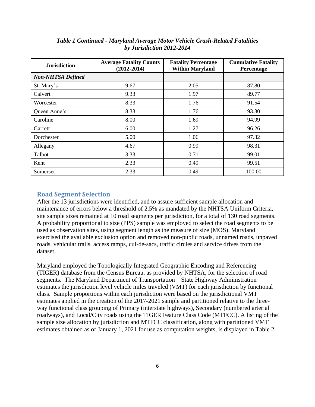| <b>Jurisdiction</b>      | <b>Average Fatality Counts</b><br>$(2012 - 2014)$ | <b>Fatality Percentage</b><br><b>Within Maryland</b> | <b>Cumulative Fatality</b><br>Percentage |  |
|--------------------------|---------------------------------------------------|------------------------------------------------------|------------------------------------------|--|
| <b>Non-NHTSA Defined</b> |                                                   |                                                      |                                          |  |
| St. Mary's               | 9.67                                              | 2.05                                                 | 87.80                                    |  |
| Calvert                  | 9.33                                              | 1.97                                                 | 89.77                                    |  |
| Worcester                | 8.33                                              | 1.76                                                 | 91.54                                    |  |
| Queen Anne's             | 8.33                                              | 1.76                                                 | 93.30                                    |  |
| Caroline                 | 8.00                                              | 1.69                                                 | 94.99                                    |  |
| Garrett                  | 6.00                                              | 1.27                                                 | 96.26                                    |  |
| Dorchester               | 5.00                                              | 1.06                                                 | 97.32                                    |  |
| Allegany                 | 4.67                                              | 0.99                                                 | 98.31                                    |  |
| Talbot                   | 3.33                                              | 0.71                                                 | 99.01                                    |  |
| Kent                     | 2.33                                              | 0.49                                                 | 99.51                                    |  |
| Somerset                 | 2.33                                              | 0.49                                                 | 100.00                                   |  |

*Table 1 Continued - Maryland Average Motor Vehicle Crash-Related Fatalities by Jurisdiction 2012-2014*

#### **Road Segment Selection**

After the 13 jurisdictions were identified, and to assure sufficient sample allocation and maintenance of errors below a threshold of 2.5% as mandated by the NHTSA Uniform Criteria, site sample sizes remained at 10 road segments per jurisdiction, for a total of 130 road segments. A probability proportional to size (PPS) sample was employed to select the road segments to be used as observation sites, using segment length as the measure of size (MOS). Maryland exercised the available exclusion option and removed non-public roads, unnamed roads, unpaved roads, vehicular trails, access ramps, cul-de-sacs, traffic circles and service drives from the dataset.

Maryland employed the Topologically Integrated Geographic Encoding and Referencing (TIGER) database from the Census Bureau, as provided by NHTSA, for the selection of road segments. The Maryland Department of Transportation – State Highway Administration estimates the jurisdiction level vehicle miles traveled (VMT) for each jurisdiction by functional class. Sample proportions within each jurisdiction were based on the jurisdictional VMT estimates applied in the creation of the 2017-2021 sample and partitioned relative to the threeway functional class grouping of Primary (interstate highways), Secondary (numbered arterial roadways), and Local/City roads using the TIGER Feature Class Code (MTFCC). A listing of the sample size allocation by jurisdiction and MTFCC classification, along with partitioned VMT estimates obtained as of January 1, 2021 for use as computation weights, is displayed in Table 2.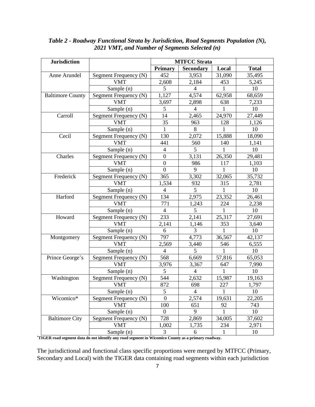| <b>Primary</b><br><b>Secondary</b><br>Local<br><b>Total</b><br>Segment Frequency (N)<br>452<br>3,953<br>31,090<br>35,495<br>Anne Arundel<br><b>VMT</b><br>2,608<br>2,184<br>453<br>5,245<br>5<br>10<br>Sample (n)<br>4<br>1<br>1,127<br>4,574<br><b>Baltimore County</b><br>Segment Frequency (N)<br>62,958<br>68,659<br><b>VMT</b><br>3,697<br>638<br>7,233<br>2,898<br>Sample (n)<br>5<br>10<br>$\overline{4}$<br>1<br>Carroll<br>Segment Frequency (N)<br>14<br>2,465<br>24,970<br>27,449<br>35<br>963<br>128<br>1,126<br><b>VMT</b><br>$\mathbf{1}$<br>8<br>10<br>Sample (n)<br>1<br>Cecil<br>Segment Frequency (N)<br>130<br>2,072<br>15,888<br>18,090<br><b>VMT</b><br>441<br>560<br>140<br>1,141<br>5<br>$\overline{4}$<br>10<br>Sample (n)<br>Segment Frequency (N)<br>$\boldsymbol{0}$<br>3,131<br>26,350<br>29,481<br>Charles<br>$\overline{0}$<br><b>VMT</b><br>986<br>117<br>1,103<br>Sample (n)<br>$\mathbf{0}$<br>9<br>10<br>1<br>Frederick<br>Segment Frequency (N)<br>365<br>3,302<br>32,065<br>35,732<br><b>VMT</b><br>1,534<br>315<br>2,781<br>932<br>5<br>Sample (n)<br>$\overline{4}$<br>$\mathbf{1}$<br>10<br>Harford<br>Segment Frequency (N)<br>134<br>2,975<br>26,461<br>23,352<br><b>VMT</b><br>771<br>1,243<br>224<br>2,238<br>5<br>Sample (n)<br>10<br>$\overline{4}$<br>1<br>Howard<br>233<br>Segment Frequency (N)<br>2,141<br>25,317<br>27,691<br><b>VMT</b><br>353<br>2,141<br>1,146<br>3,640<br>3<br>10<br>Sample (n)<br>6<br>1<br>797<br>4,773<br>36,567<br>42,137<br>Segment Frequency (N)<br>Montgomery<br><b>VMT</b><br>2,569<br>3,440<br>546<br>6,555<br>5<br>Sample (n)<br>$\overline{4}$<br>10<br>1<br>Prince George's<br>Segment Frequency (N)<br>568<br>6,669<br>65,053<br>57,816<br>3,367<br><b>VMT</b><br>3,976<br>647<br>7,990<br>5<br>Sample (n)<br>$\overline{4}$<br>1<br>10<br>544<br>Washington<br>Segment Frequency (N)<br>2,632<br>15,987<br>19,163<br>872<br><b>VMT</b><br>698<br>227<br>1,797<br>Sample (n)<br>$\mathfrak{S}$<br>$\overline{4}$<br>10<br>1<br>Wicomico*<br>2,574<br>$\Omega$<br>19,631<br>22,205<br>Segment Frequency (N)<br>100<br><b>VMT</b><br>651<br>92<br>743<br>Sample (n)<br>10<br>9<br>1<br>$\boldsymbol{0}$<br><b>Baltimore City</b><br>Segment Frequency (N)<br>728<br>2,869<br>37,602<br>34,005<br><b>VMT</b><br>1,002<br>1,735<br>2,971<br>234 | <b>Jurisdiction</b> |            |   |   |              |    |
|--------------------------------------------------------------------------------------------------------------------------------------------------------------------------------------------------------------------------------------------------------------------------------------------------------------------------------------------------------------------------------------------------------------------------------------------------------------------------------------------------------------------------------------------------------------------------------------------------------------------------------------------------------------------------------------------------------------------------------------------------------------------------------------------------------------------------------------------------------------------------------------------------------------------------------------------------------------------------------------------------------------------------------------------------------------------------------------------------------------------------------------------------------------------------------------------------------------------------------------------------------------------------------------------------------------------------------------------------------------------------------------------------------------------------------------------------------------------------------------------------------------------------------------------------------------------------------------------------------------------------------------------------------------------------------------------------------------------------------------------------------------------------------------------------------------------------------------------------------------------------------------------------------------------------------------------------------------------------------------------------------------------------------------------------------------------------------------------------------------------------------------------------------------------------------------------------------------------------------------------------------------------------------------------------------------------------------|---------------------|------------|---|---|--------------|----|
|                                                                                                                                                                                                                                                                                                                                                                                                                                                                                                                                                                                                                                                                                                                                                                                                                                                                                                                                                                                                                                                                                                                                                                                                                                                                                                                                                                                                                                                                                                                                                                                                                                                                                                                                                                                                                                                                                                                                                                                                                                                                                                                                                                                                                                                                                                                                |                     |            |   |   |              |    |
|                                                                                                                                                                                                                                                                                                                                                                                                                                                                                                                                                                                                                                                                                                                                                                                                                                                                                                                                                                                                                                                                                                                                                                                                                                                                                                                                                                                                                                                                                                                                                                                                                                                                                                                                                                                                                                                                                                                                                                                                                                                                                                                                                                                                                                                                                                                                |                     |            |   |   |              |    |
|                                                                                                                                                                                                                                                                                                                                                                                                                                                                                                                                                                                                                                                                                                                                                                                                                                                                                                                                                                                                                                                                                                                                                                                                                                                                                                                                                                                                                                                                                                                                                                                                                                                                                                                                                                                                                                                                                                                                                                                                                                                                                                                                                                                                                                                                                                                                |                     |            |   |   |              |    |
|                                                                                                                                                                                                                                                                                                                                                                                                                                                                                                                                                                                                                                                                                                                                                                                                                                                                                                                                                                                                                                                                                                                                                                                                                                                                                                                                                                                                                                                                                                                                                                                                                                                                                                                                                                                                                                                                                                                                                                                                                                                                                                                                                                                                                                                                                                                                |                     |            |   |   |              |    |
|                                                                                                                                                                                                                                                                                                                                                                                                                                                                                                                                                                                                                                                                                                                                                                                                                                                                                                                                                                                                                                                                                                                                                                                                                                                                                                                                                                                                                                                                                                                                                                                                                                                                                                                                                                                                                                                                                                                                                                                                                                                                                                                                                                                                                                                                                                                                |                     |            |   |   |              |    |
|                                                                                                                                                                                                                                                                                                                                                                                                                                                                                                                                                                                                                                                                                                                                                                                                                                                                                                                                                                                                                                                                                                                                                                                                                                                                                                                                                                                                                                                                                                                                                                                                                                                                                                                                                                                                                                                                                                                                                                                                                                                                                                                                                                                                                                                                                                                                |                     |            |   |   |              |    |
|                                                                                                                                                                                                                                                                                                                                                                                                                                                                                                                                                                                                                                                                                                                                                                                                                                                                                                                                                                                                                                                                                                                                                                                                                                                                                                                                                                                                                                                                                                                                                                                                                                                                                                                                                                                                                                                                                                                                                                                                                                                                                                                                                                                                                                                                                                                                |                     |            |   |   |              |    |
|                                                                                                                                                                                                                                                                                                                                                                                                                                                                                                                                                                                                                                                                                                                                                                                                                                                                                                                                                                                                                                                                                                                                                                                                                                                                                                                                                                                                                                                                                                                                                                                                                                                                                                                                                                                                                                                                                                                                                                                                                                                                                                                                                                                                                                                                                                                                |                     |            |   |   |              |    |
|                                                                                                                                                                                                                                                                                                                                                                                                                                                                                                                                                                                                                                                                                                                                                                                                                                                                                                                                                                                                                                                                                                                                                                                                                                                                                                                                                                                                                                                                                                                                                                                                                                                                                                                                                                                                                                                                                                                                                                                                                                                                                                                                                                                                                                                                                                                                |                     |            |   |   |              |    |
|                                                                                                                                                                                                                                                                                                                                                                                                                                                                                                                                                                                                                                                                                                                                                                                                                                                                                                                                                                                                                                                                                                                                                                                                                                                                                                                                                                                                                                                                                                                                                                                                                                                                                                                                                                                                                                                                                                                                                                                                                                                                                                                                                                                                                                                                                                                                |                     |            |   |   |              |    |
|                                                                                                                                                                                                                                                                                                                                                                                                                                                                                                                                                                                                                                                                                                                                                                                                                                                                                                                                                                                                                                                                                                                                                                                                                                                                                                                                                                                                                                                                                                                                                                                                                                                                                                                                                                                                                                                                                                                                                                                                                                                                                                                                                                                                                                                                                                                                |                     |            |   |   |              |    |
|                                                                                                                                                                                                                                                                                                                                                                                                                                                                                                                                                                                                                                                                                                                                                                                                                                                                                                                                                                                                                                                                                                                                                                                                                                                                                                                                                                                                                                                                                                                                                                                                                                                                                                                                                                                                                                                                                                                                                                                                                                                                                                                                                                                                                                                                                                                                |                     |            |   |   |              |    |
|                                                                                                                                                                                                                                                                                                                                                                                                                                                                                                                                                                                                                                                                                                                                                                                                                                                                                                                                                                                                                                                                                                                                                                                                                                                                                                                                                                                                                                                                                                                                                                                                                                                                                                                                                                                                                                                                                                                                                                                                                                                                                                                                                                                                                                                                                                                                |                     |            |   |   |              |    |
|                                                                                                                                                                                                                                                                                                                                                                                                                                                                                                                                                                                                                                                                                                                                                                                                                                                                                                                                                                                                                                                                                                                                                                                                                                                                                                                                                                                                                                                                                                                                                                                                                                                                                                                                                                                                                                                                                                                                                                                                                                                                                                                                                                                                                                                                                                                                |                     |            |   |   |              |    |
|                                                                                                                                                                                                                                                                                                                                                                                                                                                                                                                                                                                                                                                                                                                                                                                                                                                                                                                                                                                                                                                                                                                                                                                                                                                                                                                                                                                                                                                                                                                                                                                                                                                                                                                                                                                                                                                                                                                                                                                                                                                                                                                                                                                                                                                                                                                                |                     |            |   |   |              |    |
|                                                                                                                                                                                                                                                                                                                                                                                                                                                                                                                                                                                                                                                                                                                                                                                                                                                                                                                                                                                                                                                                                                                                                                                                                                                                                                                                                                                                                                                                                                                                                                                                                                                                                                                                                                                                                                                                                                                                                                                                                                                                                                                                                                                                                                                                                                                                |                     |            |   |   |              |    |
|                                                                                                                                                                                                                                                                                                                                                                                                                                                                                                                                                                                                                                                                                                                                                                                                                                                                                                                                                                                                                                                                                                                                                                                                                                                                                                                                                                                                                                                                                                                                                                                                                                                                                                                                                                                                                                                                                                                                                                                                                                                                                                                                                                                                                                                                                                                                |                     |            |   |   |              |    |
|                                                                                                                                                                                                                                                                                                                                                                                                                                                                                                                                                                                                                                                                                                                                                                                                                                                                                                                                                                                                                                                                                                                                                                                                                                                                                                                                                                                                                                                                                                                                                                                                                                                                                                                                                                                                                                                                                                                                                                                                                                                                                                                                                                                                                                                                                                                                |                     |            |   |   |              |    |
|                                                                                                                                                                                                                                                                                                                                                                                                                                                                                                                                                                                                                                                                                                                                                                                                                                                                                                                                                                                                                                                                                                                                                                                                                                                                                                                                                                                                                                                                                                                                                                                                                                                                                                                                                                                                                                                                                                                                                                                                                                                                                                                                                                                                                                                                                                                                |                     |            |   |   |              |    |
|                                                                                                                                                                                                                                                                                                                                                                                                                                                                                                                                                                                                                                                                                                                                                                                                                                                                                                                                                                                                                                                                                                                                                                                                                                                                                                                                                                                                                                                                                                                                                                                                                                                                                                                                                                                                                                                                                                                                                                                                                                                                                                                                                                                                                                                                                                                                |                     |            |   |   |              |    |
|                                                                                                                                                                                                                                                                                                                                                                                                                                                                                                                                                                                                                                                                                                                                                                                                                                                                                                                                                                                                                                                                                                                                                                                                                                                                                                                                                                                                                                                                                                                                                                                                                                                                                                                                                                                                                                                                                                                                                                                                                                                                                                                                                                                                                                                                                                                                |                     |            |   |   |              |    |
|                                                                                                                                                                                                                                                                                                                                                                                                                                                                                                                                                                                                                                                                                                                                                                                                                                                                                                                                                                                                                                                                                                                                                                                                                                                                                                                                                                                                                                                                                                                                                                                                                                                                                                                                                                                                                                                                                                                                                                                                                                                                                                                                                                                                                                                                                                                                |                     |            |   |   |              |    |
|                                                                                                                                                                                                                                                                                                                                                                                                                                                                                                                                                                                                                                                                                                                                                                                                                                                                                                                                                                                                                                                                                                                                                                                                                                                                                                                                                                                                                                                                                                                                                                                                                                                                                                                                                                                                                                                                                                                                                                                                                                                                                                                                                                                                                                                                                                                                |                     |            |   |   |              |    |
|                                                                                                                                                                                                                                                                                                                                                                                                                                                                                                                                                                                                                                                                                                                                                                                                                                                                                                                                                                                                                                                                                                                                                                                                                                                                                                                                                                                                                                                                                                                                                                                                                                                                                                                                                                                                                                                                                                                                                                                                                                                                                                                                                                                                                                                                                                                                |                     |            |   |   |              |    |
|                                                                                                                                                                                                                                                                                                                                                                                                                                                                                                                                                                                                                                                                                                                                                                                                                                                                                                                                                                                                                                                                                                                                                                                                                                                                                                                                                                                                                                                                                                                                                                                                                                                                                                                                                                                                                                                                                                                                                                                                                                                                                                                                                                                                                                                                                                                                |                     |            |   |   |              |    |
|                                                                                                                                                                                                                                                                                                                                                                                                                                                                                                                                                                                                                                                                                                                                                                                                                                                                                                                                                                                                                                                                                                                                                                                                                                                                                                                                                                                                                                                                                                                                                                                                                                                                                                                                                                                                                                                                                                                                                                                                                                                                                                                                                                                                                                                                                                                                |                     |            |   |   |              |    |
|                                                                                                                                                                                                                                                                                                                                                                                                                                                                                                                                                                                                                                                                                                                                                                                                                                                                                                                                                                                                                                                                                                                                                                                                                                                                                                                                                                                                                                                                                                                                                                                                                                                                                                                                                                                                                                                                                                                                                                                                                                                                                                                                                                                                                                                                                                                                |                     |            |   |   |              |    |
|                                                                                                                                                                                                                                                                                                                                                                                                                                                                                                                                                                                                                                                                                                                                                                                                                                                                                                                                                                                                                                                                                                                                                                                                                                                                                                                                                                                                                                                                                                                                                                                                                                                                                                                                                                                                                                                                                                                                                                                                                                                                                                                                                                                                                                                                                                                                |                     |            |   |   |              |    |
|                                                                                                                                                                                                                                                                                                                                                                                                                                                                                                                                                                                                                                                                                                                                                                                                                                                                                                                                                                                                                                                                                                                                                                                                                                                                                                                                                                                                                                                                                                                                                                                                                                                                                                                                                                                                                                                                                                                                                                                                                                                                                                                                                                                                                                                                                                                                |                     |            |   |   |              |    |
|                                                                                                                                                                                                                                                                                                                                                                                                                                                                                                                                                                                                                                                                                                                                                                                                                                                                                                                                                                                                                                                                                                                                                                                                                                                                                                                                                                                                                                                                                                                                                                                                                                                                                                                                                                                                                                                                                                                                                                                                                                                                                                                                                                                                                                                                                                                                |                     |            |   |   |              |    |
|                                                                                                                                                                                                                                                                                                                                                                                                                                                                                                                                                                                                                                                                                                                                                                                                                                                                                                                                                                                                                                                                                                                                                                                                                                                                                                                                                                                                                                                                                                                                                                                                                                                                                                                                                                                                                                                                                                                                                                                                                                                                                                                                                                                                                                                                                                                                |                     |            |   |   |              |    |
|                                                                                                                                                                                                                                                                                                                                                                                                                                                                                                                                                                                                                                                                                                                                                                                                                                                                                                                                                                                                                                                                                                                                                                                                                                                                                                                                                                                                                                                                                                                                                                                                                                                                                                                                                                                                                                                                                                                                                                                                                                                                                                                                                                                                                                                                                                                                |                     |            |   |   |              |    |
|                                                                                                                                                                                                                                                                                                                                                                                                                                                                                                                                                                                                                                                                                                                                                                                                                                                                                                                                                                                                                                                                                                                                                                                                                                                                                                                                                                                                                                                                                                                                                                                                                                                                                                                                                                                                                                                                                                                                                                                                                                                                                                                                                                                                                                                                                                                                |                     |            |   |   |              |    |
|                                                                                                                                                                                                                                                                                                                                                                                                                                                                                                                                                                                                                                                                                                                                                                                                                                                                                                                                                                                                                                                                                                                                                                                                                                                                                                                                                                                                                                                                                                                                                                                                                                                                                                                                                                                                                                                                                                                                                                                                                                                                                                                                                                                                                                                                                                                                |                     |            |   |   |              |    |
|                                                                                                                                                                                                                                                                                                                                                                                                                                                                                                                                                                                                                                                                                                                                                                                                                                                                                                                                                                                                                                                                                                                                                                                                                                                                                                                                                                                                                                                                                                                                                                                                                                                                                                                                                                                                                                                                                                                                                                                                                                                                                                                                                                                                                                                                                                                                |                     |            |   |   |              |    |
|                                                                                                                                                                                                                                                                                                                                                                                                                                                                                                                                                                                                                                                                                                                                                                                                                                                                                                                                                                                                                                                                                                                                                                                                                                                                                                                                                                                                                                                                                                                                                                                                                                                                                                                                                                                                                                                                                                                                                                                                                                                                                                                                                                                                                                                                                                                                |                     |            |   |   |              |    |
|                                                                                                                                                                                                                                                                                                                                                                                                                                                                                                                                                                                                                                                                                                                                                                                                                                                                                                                                                                                                                                                                                                                                                                                                                                                                                                                                                                                                                                                                                                                                                                                                                                                                                                                                                                                                                                                                                                                                                                                                                                                                                                                                                                                                                                                                                                                                |                     |            |   |   |              |    |
|                                                                                                                                                                                                                                                                                                                                                                                                                                                                                                                                                                                                                                                                                                                                                                                                                                                                                                                                                                                                                                                                                                                                                                                                                                                                                                                                                                                                                                                                                                                                                                                                                                                                                                                                                                                                                                                                                                                                                                                                                                                                                                                                                                                                                                                                                                                                |                     |            |   |   |              |    |
|                                                                                                                                                                                                                                                                                                                                                                                                                                                                                                                                                                                                                                                                                                                                                                                                                                                                                                                                                                                                                                                                                                                                                                                                                                                                                                                                                                                                                                                                                                                                                                                                                                                                                                                                                                                                                                                                                                                                                                                                                                                                                                                                                                                                                                                                                                                                |                     |            |   |   |              |    |
|                                                                                                                                                                                                                                                                                                                                                                                                                                                                                                                                                                                                                                                                                                                                                                                                                                                                                                                                                                                                                                                                                                                                                                                                                                                                                                                                                                                                                                                                                                                                                                                                                                                                                                                                                                                                                                                                                                                                                                                                                                                                                                                                                                                                                                                                                                                                |                     | Sample (n) | 3 | 6 | $\mathbf{1}$ | 10 |

*Table 2 - Roadway Functional Strata by Jurisdiction, Road Segments Population (N), 2021 VMT, and Number of Segments Selected (n)*

**\*TIGER road segment data do not identify any road segment in Wicomico County as a primary roadway.**

The jurisdictional and functional class specific proportions were merged by MTFCC (Primary, Secondary and Local) with the TIGER data containing road segments within each jurisdiction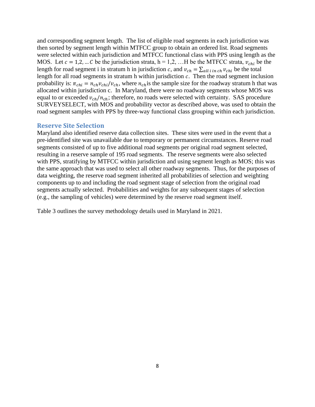and corresponding segment length. The list of eligible road segments in each jurisdiction was then sorted by segment length within MTFCC group to obtain an ordered list. Road segments were selected within each jurisdiction and MTFCC functional class with PPS using length as the MOS. Let  $c = 1,2,...$  C be the jurisdiction strata,  $h = 1,2,...$  H be the MTFCC strata,  $v_{chi}$  be the length for road segment i in stratum h in jurisdiction c, and  $v_{ch} = \sum_{all i in ch} v_{chi}$  be the total length for all road segments in stratum h within jurisdiction  $c$ . Then the road segment inclusion probability is:  $\pi_{chi} = n_{ch} v_{chi}/v_{ch}$ , where  $n_{ch}$  is the sample size for the roadway stratum h that was allocated within jurisdiction c. In Maryland, there were no roadway segments whose MOS was equal to or exceeded  $v_{ch}/n_{ch}$ ; therefore, no roads were selected with certainty. SAS procedure SURVEYSELECT, with MOS and probability vector as described above, was used to obtain the road segment samples with PPS by three-way functional class grouping within each jurisdiction.

#### **Reserve Site Selection**

Maryland also identified reserve data collection sites. These sites were used in the event that a pre-identified site was unavailable due to temporary or permanent circumstances. Reserve road segments consisted of up to five additional road segments per original road segment selected, resulting in a reserve sample of 195 road segments. The reserve segments were also selected with PPS, stratifying by MTFCC within jurisdiction and using segment length as MOS; this was the same approach that was used to select all other roadway segments. Thus, for the purposes of data weighting, the reserve road segment inherited all probabilities of selection and weighting components up to and including the road segment stage of selection from the original road segments actually selected. Probabilities and weights for any subsequent stages of selection (e.g., the sampling of vehicles) were determined by the reserve road segment itself.

Table 3 outlines the survey methodology details used in Maryland in 2021.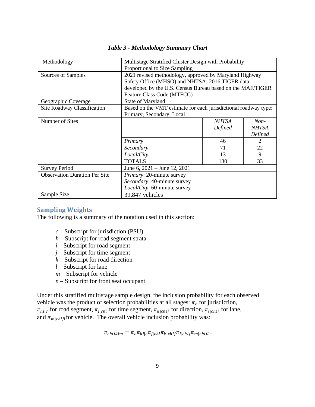| Methodology                          | Multistage Stratified Cluster Design with Probability           |              |              |  |  |  |
|--------------------------------------|-----------------------------------------------------------------|--------------|--------------|--|--|--|
|                                      | Proportional to Size Sampling                                   |              |              |  |  |  |
| Sources of Samples                   | 2021 revised methodology, approved by Maryland Highway          |              |              |  |  |  |
|                                      | Safety Office (MHSO) and NHTSA; 2016 TIGER data                 |              |              |  |  |  |
|                                      | developed by the U.S. Census Bureau based on the MAF/TIGER      |              |              |  |  |  |
|                                      | Feature Class Code (MTFCC)                                      |              |              |  |  |  |
| Geographic Coverage                  | State of Maryland                                               |              |              |  |  |  |
| Site Roadway Classification          | Based on the VMT estimate for each jurisdictional roadway type: |              |              |  |  |  |
|                                      | Primary, Secondary, Local                                       |              |              |  |  |  |
| Number of Sites                      |                                                                 | <b>NHTSA</b> | $Non-$       |  |  |  |
|                                      |                                                                 | Defined      | <b>NHTSA</b> |  |  |  |
|                                      |                                                                 |              | Defined      |  |  |  |
|                                      | Primary                                                         | 46           | 2            |  |  |  |
|                                      | Secondary                                                       | 71           | 22           |  |  |  |
|                                      | Local/City                                                      | 13           | 9            |  |  |  |
|                                      | <b>TOTALS</b>                                                   | 130          | 33           |  |  |  |
| <b>Survey Period</b>                 | June 6, $2021 -$ June 12, $2021$                                |              |              |  |  |  |
| <b>Observation Duration Per Site</b> | <i>Primary:</i> 20-minute survey                                |              |              |  |  |  |
|                                      | Secondary: 40-minute survey                                     |              |              |  |  |  |
|                                      | Local/City: 60-minute survey                                    |              |              |  |  |  |
| Sample Size                          | 39,847 vehicles                                                 |              |              |  |  |  |

#### *Table 3 - Methodology Summary Chart*

#### **Sampling Weights**

The following is a summary of the notation used in this section:

- *c* Subscript for jurisdiction (PSU)
- *h* Subscript for road segment strata
- *i* Subscript for road segment
- *j* Subscript for time segment
- *k* Subscript for road direction
- *l* Subscript for lane
- *m* Subscript for vehicle
- *n* Subscript for front seat occupant

Under this stratified multistage sample design, the inclusion probability for each observed vehicle was the product of selection probabilities at all stages:  $\pi_c$  for jurisdiction,  $\pi_{hi|c}$  for road segment,  $\pi_{j|chi}$  for time segment,  $\pi_{k|chi}$  for direction,  $\pi_{l|chi}$  for lane, and  $\pi_{m|chij}$  for vehicle. The overall vehicle inclusion probability was:

 $\pi_{chijklm} = \pi_c \pi_{hi|c} \pi_{j|chi} \pi_{k|chij} \pi_{l|chij} \pi_{m|chijl}.$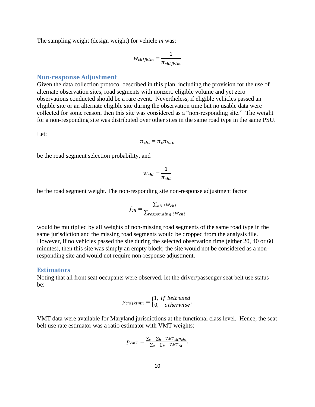The sampling weight (design weight) for vehicle *m* was:

$$
w_{chijklm} = \frac{1}{\pi_{chijklm}}
$$

#### **Non-response Adjustment**

Given the data collection protocol described in this plan, including the provision for the use of alternate observation sites, road segments with nonzero eligible volume and yet zero observations conducted should be a rare event. Nevertheless, if eligible vehicles passed an eligible site or an alternate eligible site during the observation time but no usable data were collected for some reason, then this site was considered as a "non-responding site." The weight for a non-responding site was distributed over other sites in the same road type in the same PSU.

Let:

 $\pi_{chi} = \pi_c \pi_{hi|c}$ 

be the road segment selection probability, and

$$
w_{chi} = \frac{1}{\pi_{chi}}
$$

be the road segment weight. The non-responding site non-response adjustment factor

$$
f_{ch} = \frac{\sum_{all \ i} w_{chi}}{\sum_{responding \ i} w_{chi}}
$$

would be multiplied by all weights of non-missing road segments of the same road type in the same jurisdiction and the missing road segments would be dropped from the analysis file. However, if no vehicles passed the site during the selected observation time (either 20, 40 or 60 minutes), then this site was simply an empty block; the site would not be considered as a nonresponding site and would not require non-response adjustment.

#### **Estimators**

Noting that all front seat occupants were observed, let the driver/passenger seat belt use status be:

$$
y_{chijklmn} = \begin{cases} 1, & if \text{ belt used} \\ 0, & otherwise \end{cases}.
$$

VMT data were available for Maryland jurisdictions at the functional class level. Hence, the seat belt use rate estimator was a ratio estimator with VMT weights:

$$
p_{VMT} = \frac{\sum_{c} \sum_{h} VMT_{ch}p_{chi}}{\sum_{c} \sum_{h} VMT_{ch}}.
$$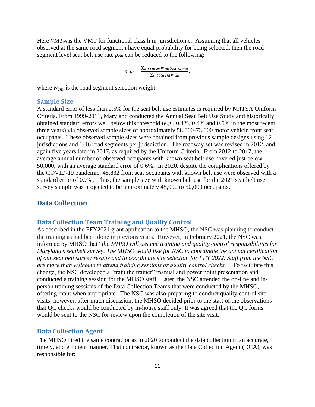Here *VMTch* is the VMT for functional class h in jurisdiction c. Assuming that all vehicles observed at the same road segment i have equal probability for being selected, then the road segment level seat belt use rate *pchi* can be reduced to the following:

$$
p_{chi} = \frac{\sum_{all \ i \ in \ ch \ Wchi\ chi} y_{chi \ k l m n}}{\sum_{all \ i \ in \ chi} w_{chi}}.
$$

where  $w_{chi}$  is the road segment selection weight.

#### **Sample Size**

A standard error of less than 2.5% for the seat belt use estimates is required by NHTSA Uniform Criteria. From 1999-2011, Maryland conducted the Annual Seat Belt Use Study and historically obtained standard errors well below this threshold (e.g., 0.4%, 0.4% and 0.5% in the most recent three years) via observed sample sizes of approximately 58,000-73,000 motor vehicle front seat occupants. These observed sample sizes were obtained from previous sample designs using 12 jurisdictions and 1-16 road segments per jurisdiction. The roadway set was revised in 2012, and again five years later in 2017, as required by the Uniform Criteria. From 2012 to 2017, the average annual number of observed occupants with known seat belt use hovered just below 50,000, with an average standard error of 0.6%. In 2020, despite the complications offered by the COVID-19 pandemic, 48,832 front seat occupants with known belt use were observed with a standard error of 0.7%. Thus, the sample size with known belt use for the 2021 seat belt use survey sample was projected to be approximately 45,000 to 50,000 occupants.

#### <span id="page-10-0"></span>**Data Collection**

#### **Data Collection Team Training and Quality Control**

As described in the FFY2021 grant application to the MHSO, the NSC was planning to conduct the training as had been done in previous years. However, in February 2021, the NSC was informed by MHSO that "*the MHSO will assume training and quality control responsibilities for Maryland's seatbelt survey. The MHSO would like for NSC to coordinate the annual certification of our seat belt survey results and to coordinate site selection for FFY 2022. Staff from the NSC are more than welcome to attend training sessions or quality control checks."* To facilitate this change, the NSC developed a "train the trainer" manual and power point presentation and conducted a training session for the MHSO staff. Later, the NSC attended the on-line and inperson training sessions of the Data Collection Teams that were conducted by the MHSO, offering input when appropriate. The NSC was also preparing to conduct quality control site visits; however, after much discussion, the MHSO decided prior to the start of the observations that QC checks would be conducted by in-house staff only. It was agreed that the QC forms would be sent to the NSC for review upon the completion of the site visit.

#### **Data Collection Agent**

The MHSO hired the same contractor as in 2020 to conduct the data collection in an accurate, timely, and efficient manner. That contractor, known as the Data Collection Agent (DCA), was responsible for: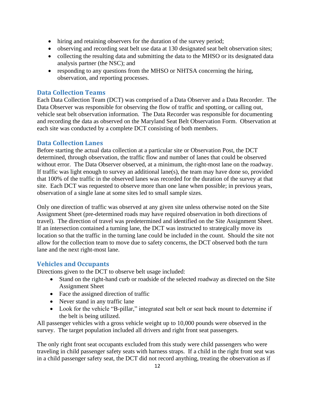- hiring and retaining observers for the duration of the survey period;
- observing and recording seat belt use data at 130 designated seat belt observation sites;
- collecting the resulting data and submitting the data to the MHSO or its designated data analysis partner (the NSC); and
- responding to any questions from the MHSO or NHTSA concerning the hiring, observation, and reporting processes.

#### **Data Collection Teams**

Each Data Collection Team (DCT) was comprised of a Data Observer and a Data Recorder. The Data Observer was responsible for observing the flow of traffic and spotting, or calling out, vehicle seat belt observation information. The Data Recorder was responsible for documenting and recording the data as observed on the Maryland Seat Belt Observation Form. Observation at each site was conducted by a complete DCT consisting of both members.

#### **Data Collection Lanes**

Before starting the actual data collection at a particular site or Observation Post, the DCT determined, through observation, the traffic flow and number of lanes that could be observed without error. The Data Observer observed, at a minimum, the right-most lane on the roadway. If traffic was light enough to survey an additional lane(s), the team may have done so, provided that 100% of the traffic in the observed lanes was recorded for the duration of the survey at that site. Each DCT was requested to observe more than one lane when possible; in previous years, observation of a single lane at some sites led to small sample sizes.

Only one direction of traffic was observed at any given site unless otherwise noted on the Site Assignment Sheet (pre-determined roads may have required observation in both directions of travel). The direction of travel was predetermined and identified on the Site Assignment Sheet. If an intersection contained a turning lane, the DCT was instructed to strategically move its location so that the traffic in the turning lane could be included in the count. Should the site not allow for the collection team to move due to safety concerns, the DCT observed both the turn lane and the next right-most lane.

#### **Vehicles and Occupants**

Directions given to the DCT to observe belt usage included:

- Stand on the right-hand curb or roadside of the selected roadway as directed on the Site Assignment Sheet
- Face the assigned direction of traffic
- Never stand in any traffic lane
- Look for the vehicle "B-pillar," integrated seat belt or seat back mount to determine if the belt is being utilized.

All passenger vehicles with a gross vehicle weight up to 10,000 pounds were observed in the survey. The target population included all drivers and right front seat passengers.

The only right front seat occupants excluded from this study were child passengers who were traveling in child passenger safety seats with harness straps. If a child in the right front seat was in a child passenger safety seat, the DCT did not record anything, treating the observation as if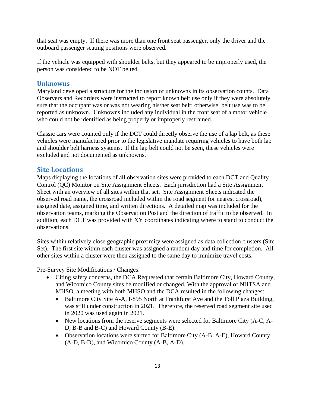that seat was empty. If there was more than one front seat passenger, only the driver and the outboard passenger seating positions were observed.

If the vehicle was equipped with shoulder belts, but they appeared to be improperly used, the person was considered to be NOT belted.

#### **Unknowns**

Maryland developed a structure for the inclusion of unknowns in its observation counts. Data Observers and Recorders were instructed to report known belt use only if they were absolutely sure that the occupant was or was not wearing his/her seat belt; otherwise, belt use was to be reported as unknown. Unknowns included any individual in the front seat of a motor vehicle who could not be identified as being properly or improperly restrained.

Classic cars were counted only if the DCT could directly observe the use of a lap belt, as these vehicles were manufactured prior to the legislative mandate requiring vehicles to have both lap and shoulder belt harness systems. If the lap belt could not be seen, these vehicles were excluded and not documented as unknowns.

#### **Site Locations**

Maps displaying the locations of all observation sites were provided to each DCT and Quality Control (QC) Monitor on Site Assignment Sheets. Each jurisdiction had a Site Assignment Sheet with an overview of all sites within that set. Site Assignment Sheets indicated the observed road name, the crossroad included within the road segment (or nearest crossroad), assigned date, assigned time, and written directions. A detailed map was included for the observation teams, marking the Observation Post and the direction of traffic to be observed. In addition, each DCT was provided with XY coordinates indicating where to stand to conduct the observations.

Sites within relatively close geographic proximity were assigned as data collection clusters (Site Set). The first site within each cluster was assigned a random day and time for completion. All other sites within a cluster were then assigned to the same day to minimize travel costs.

Pre-Survey Site Modifications / Changes:

- Citing safety concerns, the DCA Requested that certain Baltimore City, Howard County, and Wicomico County sites be modified or changed. With the approval of NHTSA and MHSO, a meeting with both MHSO and the DCA resulted in the following changes:
	- Baltimore City Site A-A, I-895 North at Frankfurst Ave and the Toll Plaza Building, was still under construction in 2021. Therefore, the reserved road segment site used in 2020 was used again in 2021.
	- New locations from the reserve segments were selected for Baltimore City (A-C, A-D, B-B and B-C) and Howard County (B-E).
	- Observation locations were shifted for Baltimore City (A-B, A-E), Howard County (A-D, B-D), and Wicomico County (A-B, A-D).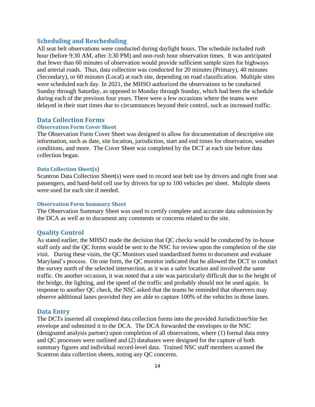#### **Scheduling and Rescheduling**

All seat belt observations were conducted during daylight hours. The schedule included rush hour (before 9:30 AM, after 3:30 PM) and non-rush hour observation times. It was anticipated that fewer than 60 minutes of observation would provide sufficient sample sizes for highways and arterial roads. Thus, data collection was conducted for 20 minutes (Primary), 40 minutes (Secondary), or 60 minutes (Local) at each site, depending on road classification. Multiple sites were scheduled each day. In 2021, the MHSO authorized the observations to be conducted Sunday through Saturday, as opposed to Monday through Sunday, which had been the schedule during each of the previous four years. There were a few occasions where the teams were delayed in their start times due to circumstances beyond their control, such as increased traffic.

#### **Data Collection Forms**

#### **Observation Form Cover Sheet**

The Observation Form Cover Sheet was designed to allow for documentation of descriptive site information, such as date, site location, jurisdiction, start and end times for observation, weather conditions, and more. The Cover Sheet was completed by the DCT at each site before data collection began.

#### **Data Collection Sheet(s)**

Scantron Data Collection Sheet(s) were used to record seat belt use by drivers and right front seat passengers, and hand-held cell use by drivers for up to 100 vehicles per sheet. Multiple sheets were used for each site if needed.

#### **Observation Form Summary Sheet**

The Observation Summary Sheet was used to certify complete and accurate data submission by the DCA as well as to document any comments or concerns related to the site.

#### **Quality Control**

As stated earlier, the MHSO made the decision that QC checks would be conducted by in-house staff only and the QC forms would be sent to the NSC for review upon the completion of the site visit. During these visits, the QC Monitors used standardized forms to document and evaluate Maryland's process. On one form, the QC monitor indicated that he allowed the DCT to conduct the survey north of the selected intersection, as it was a safer location and involved the same traffic. On another occasion, it was noted that a site was particularly difficult due to the height of the bridge, the lighting, and the speed of the traffic and probably should not be used again. In response to another QC check, the NSC asked that the teams be reminded that observers may observe additional lanes provided they are able to capture 100% of the vehicles in those lanes.

#### **Data Entry**

The DCTs inserted all completed data collection forms into the provided Jurisdiction/Site Set envelope and submitted it to the DCA. The DCA forwarded the envelopes to the NSC (designated analysis partner) upon completion of all observations, where (1) formal data entry and QC processes were outlined and (2) databases were designed for the capture of both summary figures and individual record-level data. Trained NSC staff members scanned the Scantron data collection sheets, noting any QC concerns.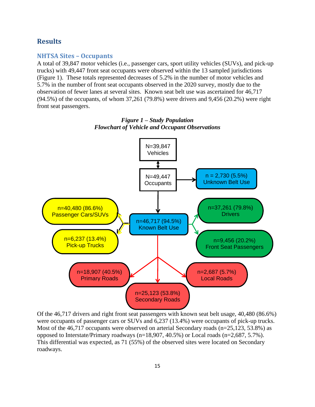#### <span id="page-14-0"></span>**Results**

#### <span id="page-14-1"></span>**NHTSA Sites – Occupants**

A total of 39,847 motor vehicles (i.e., passenger cars, sport utility vehicles (SUVs), and pick-up trucks) with 49,447 front seat occupants were observed within the 13 sampled jurisdictions (Figure 1). These totals represented decreases of 5.2% in the number of motor vehicles and 5.7% in the number of front seat occupants observed in the 2020 survey, mostly due to the observation of fewer lanes at several sites. Known seat belt use was ascertained for 46,717 (94.5%) of the occupants, of whom 37,261 (79.8%) were drivers and 9,456 (20.2%) were right front seat passengers.



*Figure 1 – Study Population Flowchart of Vehicle and Occupant Observations*

Of the 46,717 drivers and right front seat passengers with known seat belt usage, 40,480 (86.6%) were occupants of passenger cars or SUVs and 6,237 (13.4%) were occupants of pick-up trucks. Most of the 46,717 occupants were observed on arterial Secondary roads (n=25,123, 53.8%) as opposed to Interstate/Primary roadways (n=18,907, 40.5%) or Local roads (n=2,687, 5.7%). This differential was expected, as 71 (55%) of the observed sites were located on Secondary roadways.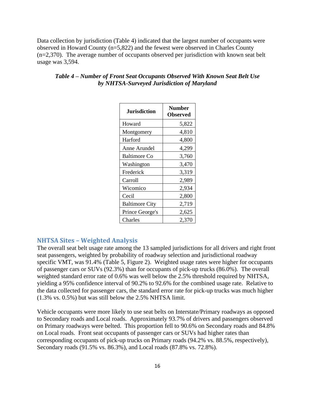Data collection by jurisdiction (Table 4) indicated that the largest number of occupants were observed in Howard County (n=5,822) and the fewest were observed in Charles County (n=2,370). The average number of occupants observed per jurisdiction with known seat belt usage was 3,594.

| <b>Jurisdiction</b>   | <b>Number</b><br><b>Observed</b> |
|-----------------------|----------------------------------|
| Howard                | 5,822                            |
| Montgomery            | 4,810                            |
| Harford               | 4,800                            |
| Anne Arundel          | 4,299                            |
| <b>Baltimore Co</b>   | 3,760                            |
| Washington            | 3,470                            |
| Frederick             | 3,319                            |
| Carroll               | 2,989                            |
| Wicomico              | 2,934                            |
| Cecil                 | 2,800                            |
| <b>Baltimore City</b> | 2,719                            |
| Prince George's       | 2,625                            |
| Charles               | 2,370                            |

#### *Table 4 – Number of Front Seat Occupants Observed With Known Seat Belt Use by NHTSA-Surveyed Jurisdiction of Maryland*

#### <span id="page-15-0"></span>**NHTSA Sites – Weighted Analysis**

The overall seat belt usage rate among the 13 sampled jurisdictions for all drivers and right front seat passengers, weighted by probability of roadway selection and jurisdictional roadway specific VMT, was 91.4% (Table 5, Figure 2). Weighted usage rates were higher for occupants of passenger cars or SUVs (92.3%) than for occupants of pick-up trucks (86.0%). The overall weighted standard error rate of 0.6% was well below the 2.5% threshold required by NHTSA, yielding a 95% confidence interval of 90.2% to 92.6% for the combined usage rate. Relative to the data collected for passenger cars, the standard error rate for pick-up trucks was much higher (1.3% vs. 0.5%) but was still below the 2.5% NHTSA limit.

Vehicle occupants were more likely to use seat belts on Interstate/Primary roadways as opposed to Secondary roads and Local roads. Approximately 93.7% of drivers and passengers observed on Primary roadways were belted. This proportion fell to 90.6% on Secondary roads and 84.8% on Local roads. Front seat occupants of passenger cars or SUVs had higher rates than corresponding occupants of pick-up trucks on Primary roads (94.2% vs. 88.5%, respectively), Secondary roads (91.5% vs. 86.3%), and Local roads (87.8% vs. 72.8%).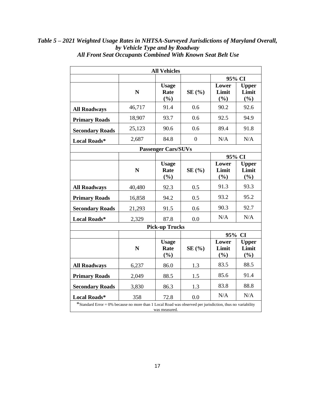| <b>All Vehicles</b>                                                                                                        |             |                             |                |                       |                              |  |  |  |
|----------------------------------------------------------------------------------------------------------------------------|-------------|-----------------------------|----------------|-----------------------|------------------------------|--|--|--|
|                                                                                                                            |             |                             |                |                       | 95% CI                       |  |  |  |
|                                                                                                                            | N           | <b>Usage</b><br>Rate<br>(%) | SE(%)          | Lower<br>Limit<br>(%) | <b>Upper</b><br>Limit<br>(%) |  |  |  |
| <b>All Roadways</b>                                                                                                        | 46,717      | 91.4                        | 0.6            | 90.2                  | 92.6                         |  |  |  |
| <b>Primary Roads</b>                                                                                                       | 18,907      | 93.7                        | 0.6            | 92.5                  | 94.9                         |  |  |  |
| <b>Secondary Roads</b>                                                                                                     | 25,123      | 90.6                        | 0.6            | 89.4                  | 91.8                         |  |  |  |
| <b>Local Roads*</b>                                                                                                        | 2,687       | 84.8                        | $\overline{0}$ | N/A                   | N/A                          |  |  |  |
|                                                                                                                            |             | <b>Passenger Cars/SUVs</b>  |                |                       |                              |  |  |  |
|                                                                                                                            |             |                             |                |                       | 95% CI                       |  |  |  |
|                                                                                                                            | $\mathbf N$ | <b>Usage</b><br>Rate<br>(%) | SE(%)          | Lower<br>Limit<br>(%) | <b>Upper</b><br>Limit<br>(%) |  |  |  |
| <b>All Roadways</b>                                                                                                        | 40,480      | 92.3                        | 0.5            | 91.3                  | 93.3                         |  |  |  |
| <b>Primary Roads</b>                                                                                                       | 16,858      | 94.2                        | 0.5            | 93.2                  | 95.2                         |  |  |  |
| <b>Secondary Roads</b>                                                                                                     | 21,293      | 91.5                        | 0.6            | 90.3                  | 92.7                         |  |  |  |
| Local Roads*                                                                                                               | 2,329       | 87.8                        | 0.0            | N/A                   | N/A                          |  |  |  |
|                                                                                                                            |             | <b>Pick-up Trucks</b>       |                |                       |                              |  |  |  |
|                                                                                                                            |             |                             |                |                       | 95% CI                       |  |  |  |
|                                                                                                                            | $\mathbf N$ | <b>Usage</b><br>Rate<br>(%) | SE(%)          | Lower<br>Limit<br>(%) | <b>Upper</b><br>Limit<br>(%) |  |  |  |
| <b>All Roadways</b>                                                                                                        | 6,237       | 86.0                        | 1.3            | 83.5                  | 88.5                         |  |  |  |
| <b>Primary Roads</b>                                                                                                       | 2,049       | 88.5                        | 1.5            | 85.6                  | 91.4                         |  |  |  |
| <b>Secondary Roads</b>                                                                                                     | 3,830       | 86.3                        | 1.3            | 83.8                  | 88.8                         |  |  |  |
| <b>Local Roads*</b>                                                                                                        | 358         | 72.8                        | 0.0            | N/A                   | N/A                          |  |  |  |
| *Standard Error = 0% because no more than 1 Local Road was observed per jurisdiction, thus no variability<br>was measured. |             |                             |                |                       |                              |  |  |  |

*Table 5 – 2021 Weighted Usage Rates in NHTSA-Surveyed Jurisdictions of Maryland Overall, by Vehicle Type and by Roadway All Front Seat Occupants Combined With Known Seat Belt Use*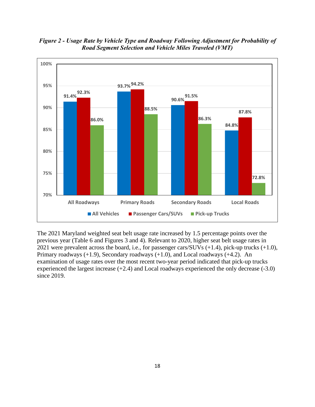*Figure 2 - Usage Rate by Vehicle Type and Roadway Following Adjustment for Probability of Road Segment Selection and Vehicle Miles Traveled (VMT)*



The 2021 Maryland weighted seat belt usage rate increased by 1.5 percentage points over the previous year (Table 6 and Figures 3 and 4). Relevant to 2020, higher seat belt usage rates in 2021 were prevalent across the board, i.e., for passenger cars/SUVs (+1.4), pick-up trucks (+1.0), Primary roadways (+1.9), Secondary roadways (+1.0), and Local roadways (+4.2). An examination of usage rates over the most recent two-year period indicated that pick-up trucks experienced the largest increase (+2.4) and Local roadways experienced the only decrease (-3.0) since 2019.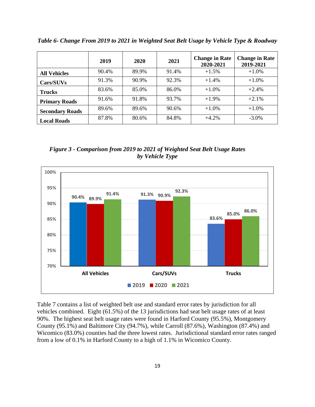**2019 2020 2021 Change in Rate 2020-2021 Change in Rate 2019-2021 All Vehicles**  $\begin{array}{|c|c|c|c|c|} \hline 90.4\% & 89.9\% & 91.4\% & +1.5\% & +1.0\% \hline \end{array}$ **Cars/SUVs** 91.3% 90.9% 92.3% +1.4% +1.0% **Trucks** 83.6% 85.0% 86.0% +1.0% +2.4% **Primary Roads** 91.6% 91.8% 93.7% +1.9% +2.1% **Secondary Roads** 89.6% 89.6% 90.6% +1.0% +1.0% +1.0% **Local Roads** 87.8% 80.6% 84.8% +4.2% -3.0%

*Table 6- Change From 2019 to 2021 in Weighted Seat Belt Usage by Vehicle Type & Roadway*

 *Figure 3 - Comparison from 2019 to 2021 of Weighted Seat Belt Usage Rates by Vehicle Type* 



Table 7 contains a list of weighted belt use and standard error rates by jurisdiction for all vehicles combined. Eight (61.5%) of the 13 jurisdictions had seat belt usage rates of at least 90%. The highest seat belt usage rates were found in Harford County (95.5%), Montgomery County (95.1%) and Baltimore City (94.7%), while Carroll (87.6%), Washington (87.4%) and Wicomico (83.0%) counties had the three lowest rates. Jurisdictional standard error rates ranged from a low of 0.1% in Harford County to a high of 1.1% in Wicomico County.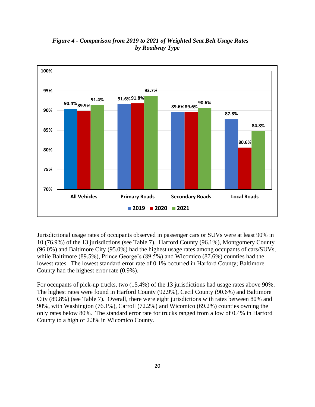

 *Figure 4 - Comparison from 2019 to 2021 of Weighted Seat Belt Usage Rates by Roadway Type*

Jurisdictional usage rates of occupants observed in passenger cars or SUVs were at least 90% in 10 (76.9%) of the 13 jurisdictions (see Table 7). Harford County (96.1%), Montgomery County (96.0%) and Baltimore City (95.0%) had the highest usage rates among occupants of cars/SUVs, while Baltimore (89.5%), Prince George's (89.5%) and Wicomico (87.6%) counties had the lowest rates. The lowest standard error rate of 0.1% occurred in Harford County; Baltimore County had the highest error rate (0.9%).

For occupants of pick-up trucks, two (15.4%) of the 13 jurisdictions had usage rates above 90%. The highest rates were found in Harford County (92.9%), Cecil County (90.6%) and Baltimore City (89.8%) (see Table 7). Overall, there were eight jurisdictions with rates between 80% and 90%, with Washington (76.1%), Carroll (72.2%) and Wicomico (69.2%) counties owning the only rates below 80%. The standard error rate for trucks ranged from a low of 0.4% in Harford County to a high of 2.3% in Wicomico County.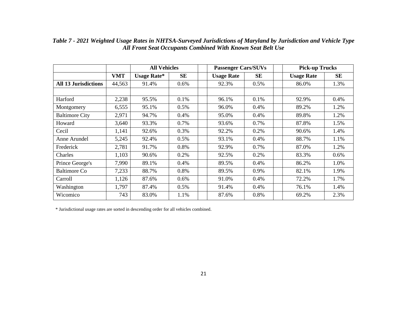|                             |            | <b>All Vehicles</b> |           | <b>Passenger Cars/SUVs</b> |      |  | <b>Pick-up Trucks</b> |         |  |
|-----------------------------|------------|---------------------|-----------|----------------------------|------|--|-----------------------|---------|--|
|                             | <b>VMT</b> | <b>Usage Rate*</b>  | <b>SE</b> | <b>Usage Rate</b>          | SE   |  | <b>Usage Rate</b>     | SE      |  |
| <b>All 13 Jurisdictions</b> | 44,563     | 91.4%               | $0.6\%$   | 92.3%                      | 0.5% |  | 86.0%                 | 1.3%    |  |
|                             |            |                     |           |                            |      |  |                       |         |  |
| Harford                     | 2,238      | 95.5%               | 0.1%      | 96.1%                      | 0.1% |  | 92.9%                 | 0.4%    |  |
| Montgomery                  | 6,555      | 95.1%               | 0.5%      | 96.0%                      | 0.4% |  | 89.2%                 | 1.2%    |  |
| <b>Baltimore City</b>       | 2,971      | 94.7%               | 0.4%      | 95.0%                      | 0.4% |  | 89.8%                 | 1.2%    |  |
| Howard                      | 3,640      | 93.3%               | 0.7%      | 93.6%                      | 0.7% |  | 87.8%                 | 1.5%    |  |
| Cecil                       | 1,141      | 92.6%               | 0.3%      | 92.2%                      | 0.2% |  | 90.6%                 | 1.4%    |  |
| Anne Arundel                | 5,245      | 92.4%               | 0.5%      | 93.1%                      | 0.4% |  | 88.7%                 | 1.1%    |  |
| Frederick                   | 2,781      | 91.7%               | 0.8%      | 92.9%                      | 0.7% |  | 87.0%                 | 1.2%    |  |
| Charles                     | 1,103      | 90.6%               | 0.2%      | 92.5%                      | 0.2% |  | 83.3%                 | $0.6\%$ |  |
| Prince George's             | 7,990      | 89.1%               | 0.4%      | 89.5%                      | 0.4% |  | 86.2%                 | 1.0%    |  |
| <b>Baltimore Co</b>         | 7,233      | 88.7%               | 0.8%      | 89.5%                      | 0.9% |  | 82.1%                 | 1.9%    |  |
| Carroll                     | 1,126      | 87.6%               | 0.6%      | 91.0%                      | 0.4% |  | 72.2%                 | 1.7%    |  |
| Washington                  | 1,797      | 87.4%               | 0.5%      | 91.4%                      | 0.4% |  | 76.1%                 | 1.4%    |  |
| Wicomico                    | 743        | 83.0%               | 1.1%      | 87.6%                      | 0.8% |  | 69.2%                 | 2.3%    |  |

*Table 7 - 2021 Weighted Usage Rates in NHTSA-Surveyed Jurisdictions of Maryland by Jurisdiction and Vehicle Type All Front Seat Occupants Combined With Known Seat Belt Use*

\* Jurisdictional usage rates are sorted in descending order for all vehicles combined.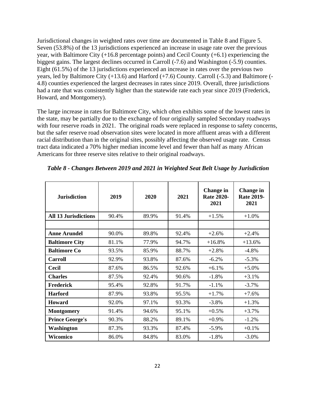<span id="page-21-0"></span>Jurisdictional changes in weighted rates over time are documented in Table 8 and Figure 5. Seven (53.8%) of the 13 jurisdictions experienced an increase in usage rate over the previous year, with Baltimore City (+16.8 percentage points) and Cecil County (+6.1) experiencing the biggest gains. The largest declines occurred in Carroll (-7.6) and Washington (-5.9) counties. Eight (61.5%) of the 13 jurisdictions experienced an increase in rates over the previous two years, led by Baltimore City (+13.6) and Harford (+7.6) County. Carroll (-5.3) and Baltimore (- 4.8) counties experienced the largest decreases in rates since 2019. Overall, three jurisdictions had a rate that was consistently higher than the statewide rate each year since 2019 (Frederick, Howard, and Montgomery).

The large increase in rates for Baltimore City, which often exhibits some of the lowest rates in the state, may be partially due to the exchange of four originally sampled Secondary roadways with four reserve roads in 2021. The original roads were replaced in response to safety concerns, but the safer reserve road observation sites were located in more affluent areas with a different racial distribution than in the original sites, possibly affecting the observed usage rate. Census tract data indicated a 70% higher median income level and fewer than half as many African Americans for three reserve sites relative to their original roadways.

| <b>Jurisdiction</b>         | 2019  | 2020  | 2021  | Change in<br><b>Rate 2020-</b><br>2021 | <b>Change in</b><br><b>Rate 2019-</b><br>2021 |
|-----------------------------|-------|-------|-------|----------------------------------------|-----------------------------------------------|
| <b>All 13 Jurisdictions</b> | 90.4% | 89.9% | 91.4% | $+1.5%$                                | $+1.0%$                                       |
|                             |       |       |       |                                        |                                               |
| <b>Anne Arundel</b>         | 90.0% | 89.8% | 92.4% | $+2.6%$                                | $+2.4%$                                       |
| <b>Baltimore City</b>       | 81.1% | 77.9% | 94.7% | $+16.8%$                               | $+13.6%$                                      |
| <b>Baltimore Co</b>         | 93.5% | 85.9% | 88.7% | $+2.8%$                                | $-4.8\%$                                      |
| <b>Carroll</b>              | 92.9% | 93.8% | 87.6% | $-6.2%$                                | $-5.3\%$                                      |
| <b>Cecil</b>                | 87.6% | 86.5% | 92.6% | $+6.1\%$                               | $+5.0\%$                                      |
| <b>Charles</b>              | 87.5% | 92.4% | 90.6% | $-1.8%$                                | $+3.1%$                                       |
| <b>Frederick</b>            | 95.4% | 92.8% | 91.7% | $-1.1\%$                               | $-3.7\%$                                      |
| <b>Harford</b>              | 87.9% | 93.8% | 95.5% | $+1.7%$                                | $+7.6%$                                       |
| <b>Howard</b>               | 92.0% | 97.1% | 93.3% | $-3.8%$                                | $+1.3%$                                       |
| <b>Montgomery</b>           | 91.4% | 94.6% | 95.1% | $+0.5\%$                               | $+3.7%$                                       |
| <b>Prince George's</b>      | 90.3% | 88.2% | 89.1% | $+0.9\%$                               | $-1.2\%$                                      |
| Washington                  | 87.3% | 93.3% | 87.4% | $-5.9\%$                               | $+0.1\%$                                      |
| <b>Wicomico</b>             | 86.0% | 84.8% | 83.0% | $-1.8%$                                | $-3.0\%$                                      |

*Table 8 - Changes Between 2019 and 2021 in Weighted Seat Belt Usage by Jurisdiction*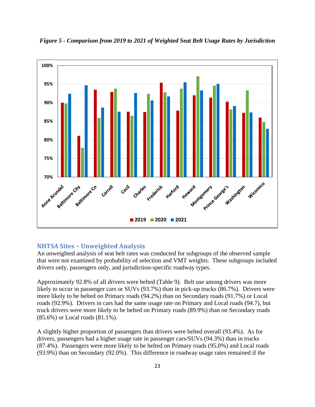

*Figure 5 - Comparison from 2019 to 2021 of Weighted Seat Belt Usage Rates by Jurisdiction*

#### **NHTSA Sites – Unweighted Analysis**

An unweighted analysis of seat belt rates was conducted for subgroups of the observed sample that were not examined by probability of selection and VMT weights. These subgroups included drivers only, passengers only, and jurisdiction-specific roadway types.

Approximately 92.8% of all drivers were belted (Table 9). Belt use among drivers was more likely to occur in passenger cars or SUVs (93.7%) than in pick-up trucks (86.7%). Drivers were more likely to be belted on Primary roads (94.2%) than on Secondary roads (91.7%) or Local roads (92.9%). Drivers in cars had the same usage rate on Primary and Local roads (94.7), but truck drivers were more likely to be belted on Primary roads (89.9%) than on Secondary roads (85.6%) or Local roads (81.1%).

A slightly higher proportion of passengers than drivers were belted overall (93.4%). As for drivers, passengers had a higher usage rate in passenger cars/SUVs (94.3%) than in trucks (87.4%). Passengers were more likely to be belted on Primary roads (95.0%) and Local roads (93.9%) than on Secondary (92.0%). This difference in roadway usage rates remained if the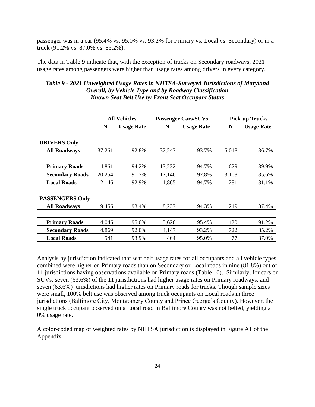passenger was in a car (95.4% vs. 95.0% vs. 93.2% for Primary vs. Local vs. Secondary) or in a truck (91.2% vs. 87.0% vs. 85.2%).

The data in Table 9 indicate that, with the exception of trucks on Secondary roadways, 2021 usage rates among passengers were higher than usage rates among drivers in every category.

|                        | <b>All Vehicles</b> |                   |        | <b>Passenger Cars/SUVs</b> | <b>Pick-up Trucks</b> |                   |  |
|------------------------|---------------------|-------------------|--------|----------------------------|-----------------------|-------------------|--|
|                        | N                   | <b>Usage Rate</b> | N      | <b>Usage Rate</b>          | N                     | <b>Usage Rate</b> |  |
| <b>DRIVERS Only</b>    |                     |                   |        |                            |                       |                   |  |
| <b>All Roadways</b>    | 37,261              | 92.8%             | 32,243 | 93.7%                      | 5,018                 | 86.7%             |  |
|                        |                     |                   |        |                            |                       |                   |  |
| <b>Primary Roads</b>   | 14,861              | 94.2%             | 13,232 | 94.7%                      | 1,629                 | 89.9%             |  |
| <b>Secondary Roads</b> | 20,254              | 91.7%             | 17,146 | 92.8%                      | 3,108                 | 85.6%             |  |
| <b>Local Roads</b>     | 2,146               | 92.9%             | 1,865  | 94.7%                      | 281                   | 81.1%             |  |
| <b>PASSENGERS Only</b> |                     |                   |        |                            |                       |                   |  |
| <b>All Roadways</b>    | 9,456               | 93.4%             | 8,237  | 94.3%                      | 1,219                 | 87.4%             |  |
|                        |                     |                   |        |                            |                       |                   |  |
| <b>Primary Roads</b>   | 4,046               | 95.0%             | 3,626  | 95.4%                      | 420                   | 91.2%             |  |
| <b>Secondary Roads</b> | 4,869               | 92.0%             | 4,147  | 93.2%                      | 722                   | 85.2%             |  |
| <b>Local Roads</b>     | 541                 | 93.9%             | 464    | 95.0%                      | 77                    | 87.0%             |  |

|                                                               | Table 9 - 2021 Unweighted Usage Rates in NHTSA-Surveyed Jurisdictions of Maryland |
|---------------------------------------------------------------|-----------------------------------------------------------------------------------|
| <b>Overall, by Vehicle Type and by Roadway Classification</b> |                                                                                   |
| <b>Known Seat Belt Use by Front Seat Occupant Status</b>      |                                                                                   |

Analysis by jurisdiction indicated that seat belt usage rates for all occupants and all vehicle types combined were higher on Primary roads than on Secondary or Local roads in nine (81.8%) out of 11 jurisdictions having observations available on Primary roads (Table 10). Similarly, for cars or SUVs, seven (63.6%) of the 11 jurisdictions had higher usage rates on Primary roadways, and seven (63.6%) jurisdictions had higher rates on Primary roads for trucks. Though sample sizes were small, 100% belt use was observed among truck occupants on Local roads in three jurisdictions (Baltimore City, Montgomery County and Prince George's County). However, the single truck occupant observed on a Local road in Baltimore County was not belted, yielding a 0% usage rate.

A color-coded map of weighted rates by NHTSA jurisdiction is displayed in Figure A1 of the Appendix.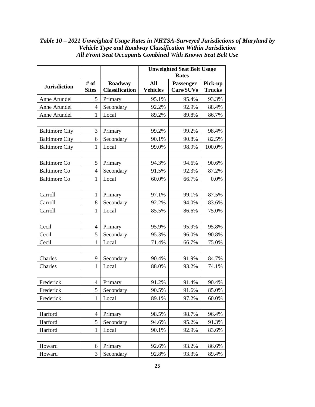|                       |                      |                                  | <b>Unweighted Seat Belt Usage</b><br><b>Rates</b> |                        |                          |  |
|-----------------------|----------------------|----------------------------------|---------------------------------------------------|------------------------|--------------------------|--|
| <b>Jurisdiction</b>   | # of<br><b>Sites</b> | Roadway<br><b>Classification</b> | <b>All</b><br><b>Vehicles</b>                     | Passenger<br>Cars/SUVs | Pick-up<br><b>Trucks</b> |  |
| Anne Arundel          | 5                    | Primary                          | 95.1%                                             | 95.4%                  | 93.3%                    |  |
| Anne Arundel          | $\overline{4}$       | Secondary                        | 92.2%                                             | 92.9%                  | 88.4%                    |  |
| Anne Arundel          | 1                    | Local                            | 89.2%                                             | 89.8%                  | 86.7%                    |  |
| <b>Baltimore City</b> | 3                    | Primary                          | 99.2%                                             | 99.2%                  | 98.4%                    |  |
| <b>Baltimore City</b> | 6                    | Secondary                        | 90.1%                                             | 90.8%                  | 82.5%                    |  |
| <b>Baltimore City</b> | $\mathbf{1}$         | Local                            | 99.0%                                             | 98.9%                  | 100.0%                   |  |
| <b>Baltimore Co</b>   | 5                    | Primary                          | 94.3%                                             | 94.6%                  | 90.6%                    |  |
| <b>Baltimore Co</b>   | 4                    | Secondary                        | 91.5%                                             | 92.3%                  | 87.2%                    |  |
| <b>Baltimore Co</b>   | 1                    | Local                            | 60.0%                                             | 66.7%                  | 0.0%                     |  |
| Carroll               | 1                    | Primary                          | 97.1%                                             | 99.1%                  | 87.5%                    |  |
| Carroll               | 8                    | Secondary                        | 92.2%                                             | 94.0%                  | 83.6%                    |  |
| Carroll               | $\mathbf{1}$         | Local                            | 85.5%                                             | 86.6%                  | 75.0%                    |  |
| Cecil                 | $\overline{4}$       | Primary                          | 95.9%                                             | 95.9%                  | 95.8%                    |  |
| Cecil                 | 5                    | Secondary                        | 95.3%                                             | 96.0%                  | 90.8%                    |  |
| Cecil                 | 1                    | Local                            | 71.4%                                             | 66.7%                  | 75.0%                    |  |
| Charles               | 9                    | Secondary                        | 90.4%                                             | 91.9%                  | 84.7%                    |  |
| Charles               | 1                    | Local                            | 88.0%                                             | 93.2%                  | 74.1%                    |  |
| Frederick             | $\overline{4}$       | Primary                          | 91.2%                                             | 91.4%                  | 90.4%                    |  |
| Frederick             | 5                    | Secondary                        | 90.5%                                             | 91.6%                  | 85.0%                    |  |
| Frederick             | 1                    | Local                            | 89.1%                                             | 97.2%                  | 60.0%                    |  |
| Harford               | $\overline{4}$       | Primary                          | 98.5%                                             | 98.7%                  | 96.4%                    |  |
| Harford               | 5                    | Secondary                        | 94.6%                                             | 95.2%                  |                          |  |
| Harford               | 1                    | Local                            | 90.1%                                             | 92.9%                  | 91.3%<br>83.6%           |  |
|                       |                      |                                  |                                                   |                        |                          |  |
| Howard                | 6                    | Primary                          | 92.6%                                             | 93.2%                  | 86.6%                    |  |
| Howard                | 3                    | Secondary                        | 92.8%                                             | 93.3%                  | 89.4%                    |  |

#### *Table 10 – 2021 Unweighted Usage Rates in NHTSA-Surveyed Jurisdictions of Maryland by Vehicle Type and Roadway Classification Within Jurisdiction All Front Seat Occupants Combined With Known Seat Belt Use*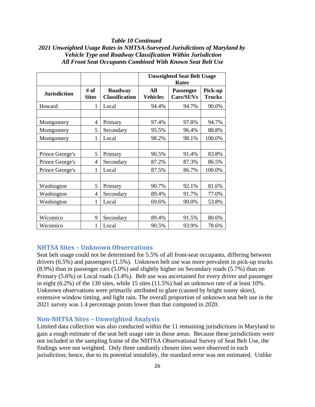#### *Table 10 Continued*

#### *2021 Unweighted Usage Rates in NHTSA-Surveyed Jurisdictions of Maryland by Vehicle Type and Roadway Classification Within Jurisdiction All Front Seat Occupants Combined With Known Seat Belt Use*

|                                             |                |                                  | <b>Unweighted Seat Belt Usage</b><br><b>Rates</b> |                               |                          |
|---------------------------------------------|----------------|----------------------------------|---------------------------------------------------|-------------------------------|--------------------------|
| # of<br><b>Jurisdiction</b><br><b>Sites</b> |                | Roadway<br><b>Classification</b> | All<br><b>Vehicles</b>                            | <b>Passenger</b><br>Cars/SUVs | Pick-up<br><b>Trucks</b> |
| Howard                                      | 1              | Local                            | 94.4%                                             | 94.7%                         | 90.0%                    |
|                                             |                |                                  |                                                   |                               |                          |
| Montgomery                                  | 4              | Primary                          | 97.4%                                             | 97.8%                         | 94.7%                    |
| Montgomery                                  | 5              | Secondary                        | 95.5%                                             | 96.4%                         | 88.8%                    |
| Montgomery                                  | 1              | Local                            | 98.2%                                             | 98.1%                         | 100.0%                   |
|                                             |                |                                  |                                                   |                               |                          |
| Prince George's                             | 5              | Primary                          | 90.5%                                             | 91.4%                         | 83.8%                    |
| Prince George's                             | 4              | Secondary                        | 87.2%                                             | 87.3%                         | 86.5%                    |
| Prince George's                             | 1              | Local                            | 87.5%                                             | 86.7%                         | 100.0%                   |
|                                             |                |                                  |                                                   |                               |                          |
| Washington                                  | 5              | Primary                          | 90.7%                                             | 92.1%                         | 81.6%                    |
| Washington                                  | $\overline{4}$ | Secondary                        | 89.4%                                             | 91.7%                         | 77.0%                    |
| Washington                                  | 1              | Local                            | 69.6%                                             | 90.0%                         |                          |
|                                             |                |                                  |                                                   |                               |                          |
| Wicomico                                    | 9              | Secondary                        | 89.4%                                             | 91.5%                         | 80.6%                    |
| Wicomico                                    | 1              | Local                            | 90.5%                                             | 93.9%                         | 78.6%                    |

#### <span id="page-25-0"></span>**NHTSA Sites – Unknown Observations**

Seat belt usage could not be determined for 5.5% of all front-seat occupants, differing between drivers (6.5%) and passengers (1.5%). Unknown belt use was more prevalent in pick-up trucks (8.9%) than in passenger cars (5.0%) and slightly higher on Secondary roads (5.7%) than on Primary (5.6%) or Local roads (3.4%). Belt use was ascertained for every driver and passenger in eight (6.2%) of the 130 sites, while 15 sites (11.5%) had an unknown rate of at least 10%. Unknown observations were primarily attributed to glare (caused by bright sunny skies), extensive window tinting, and light rain. The overall proportion of unknown seat belt use in the 2021 survey was 1.4 percentage points lower than that computed in 2020.

#### <span id="page-25-1"></span>**Non-NHTSA Sites – Unweighted Analysis**

Limited data collection was also conducted within the 11 remaining jurisdictions in Maryland to gain a rough estimate of the seat belt usage rate in those areas. Because these jurisdictions were not included in the sampling frame of the NHTSA Observational Survey of Seat Belt Use, the findings were not weighted. Only three randomly chosen sites were observed in each jurisdiction; hence, due to its potential instability, the standard error was not estimated. Unlike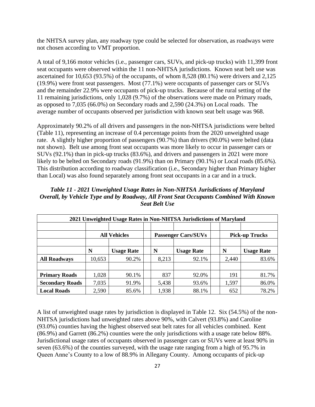the NHTSA survey plan, any roadway type could be selected for observation, as roadways were not chosen according to VMT proportion.

A total of 9,166 motor vehicles (i.e., passenger cars, SUVs, and pick-up trucks) with 11,399 front seat occupants were observed within the 11 non-NHTSA jurisdictions. Known seat belt use was ascertained for 10,653 (93.5%) of the occupants, of whom 8,528 (80.1%) were drivers and 2,125 (19.9%) were front seat passengers. Most (77.1%) were occupants of passenger cars or SUVs and the remainder 22.9% were occupants of pick-up trucks. Because of the rural setting of the 11 remaining jurisdictions, only 1,028 (9.7%) of the observations were made on Primary roads, as opposed to 7,035 (66.0%) on Secondary roads and 2,590 (24.3%) on Local roads. The average number of occupants observed per jurisdiction with known seat belt usage was 968.

Approximately 90.2% of all drivers and passengers in the non-NHTSA jurisdictions were belted (Table 11), representing an increase of 0.4 percentage points from the 2020 unweighted usage rate. A slightly higher proportion of passengers (90.7%) than drivers (90.0%) were belted (data not shown). Belt use among front seat occupants was more likely to occur in passenger cars or SUVs (92.1%) than in pick-up trucks (83.6%), and drivers and passengers in 2021 were more likely to be belted on Secondary roads (91.9%) than on Primary (90.1%) or Local roads (85.6%). This distribution according to roadway classification (i.e., Secondary higher than Primary higher than Local) was also found separately among front seat occupants in a car and in a truck.

| 2021 Unweighted Usage Rates in Non-NHTSA Jurisdictions of Maryland |                     |                   |  |                            |                   |  |                       |                   |
|--------------------------------------------------------------------|---------------------|-------------------|--|----------------------------|-------------------|--|-----------------------|-------------------|
|                                                                    |                     |                   |  |                            |                   |  |                       |                   |
|                                                                    | <b>All Vehicles</b> |                   |  | <b>Passenger Cars/SUVs</b> |                   |  | <b>Pick-up Trucks</b> |                   |
|                                                                    |                     |                   |  |                            |                   |  |                       |                   |
|                                                                    | N                   | <b>Usage Rate</b> |  | N                          | <b>Usage Rate</b> |  | N                     | <b>Usage Rate</b> |
| <b>All Roadways</b>                                                | 10,653              | 90.2%             |  | 8,213                      | 92.1%             |  | 2,440                 | 83.6%             |
|                                                                    |                     |                   |  |                            |                   |  |                       |                   |
| <b>Primary Roads</b>                                               | 1,028               | 90.1%             |  | 837                        | 92.0%             |  | 191                   | 81.7%             |
| <b>Secondary Roads</b>                                             | 7,035               | 91.9%             |  | 5,438                      | 93.6%             |  | 1,597                 | 86.0%             |
| <b>Local Roads</b>                                                 | 2,590               | 85.6%             |  | 1,938                      | 88.1%             |  | 652                   | 78.2%             |

*Table 11 - 2021 Unweighted Usage Rates in Non-NHTSA Jurisdictions of Maryland Overall, by Vehicle Type and by Roadway, All Front Seat Occupants Combined With Known Seat Belt Use*

A list of unweighted usage rates by jurisdiction is displayed in Table 12. Six (54.5%) of the non-NHTSA jurisdictions had unweighted rates above 90%, with Calvert (93.8%) and Caroline (93.0%) counties having the highest observed seat belt rates for all vehicles combined. Kent (86.9%) and Garrett (86.2%) counties were the only jurisdictions with a usage rate below 88%. Jurisdictional usage rates of occupants observed in passenger cars or SUVs were at least 90% in seven (63.6%) of the counties surveyed, with the usage rate ranging from a high of 95.7% in Queen Anne's County to a low of 88.9% in Allegany County. Among occupants of pick-up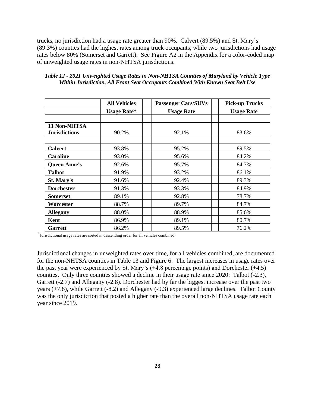trucks, no jurisdiction had a usage rate greater than 90%. Calvert (89.5%) and St. Mary's (89.3%) counties had the highest rates among truck occupants, while two jurisdictions had usage rates below 80% (Somerset and Garrett). See Figure A2 in the Appendix for a color-coded map of unweighted usage rates in non-NHTSA jurisdictions.

|                      | <b>All Vehicles</b> | <b>Passenger Cars/SUVs</b> | <b>Pick-up Trucks</b> |
|----------------------|---------------------|----------------------------|-----------------------|
|                      | <b>Usage Rate*</b>  | <b>Usage Rate</b>          | <b>Usage Rate</b>     |
|                      |                     |                            |                       |
| 11 Non-NHTSA         |                     |                            |                       |
| <b>Jurisdictions</b> | 90.2%               | 92.1%                      | 83.6%                 |
|                      |                     |                            |                       |
| <b>Calvert</b>       | 93.8%               | 95.2%                      | 89.5%                 |
| <b>Caroline</b>      | 93.0%               | 95.6%                      | 84.2%                 |
| <b>Queen Anne's</b>  | 92.6%               | 95.7%                      | 84.7%                 |
| <b>Talbot</b>        | 91.9%               | 93.2%                      | 86.1%                 |
| St. Mary's           | 91.6%               | 92.4%                      | 89.3%                 |
| <b>Dorchester</b>    | 91.3%               | 93.3%                      | 84.9%                 |
| <b>Somerset</b>      | 89.1%               | 92.8%                      | 78.7%                 |
| Worcester            | 88.7%               | 89.7%                      | 84.7%                 |
| <b>Allegany</b>      | 88.0%               | 88.9%                      | 85.6%                 |
| Kent                 | 86.9%               | 89.1%                      | 80.7%                 |
| <b>Garrett</b>       | 86.2%               | 89.5%                      | 76.2%                 |

*Table 12 - 2021 Unweighted Usage Rates in Non-NHTSA Counties of Maryland by Vehicle Type Within Jurisdiction, All Front Seat Occupants Combined With Known Seat Belt Use*

\* Jurisdictional usage rates are sorted in descending order for all vehicles combined.

Jurisdictional changes in unweighted rates over time, for all vehicles combined, are documented for the non-NHTSA counties in Table 13 and Figure 6. The largest increases in usage rates over the past year were experienced by St. Mary's (+4.8 percentage points) and Dorchester (+4.5) counties. Only three counties showed a decline in their usage rate since 2020: Talbot (-2.3), Garrett (-2.7) and Allegany (-2.8). Dorchester had by far the biggest increase over the past two years (+7.8), while Garrett (-8.2) and Allegany (-9.3) experienced large declines. Talbot County was the only jurisdiction that posted a higher rate than the overall non-NHTSA usage rate each year since 2019.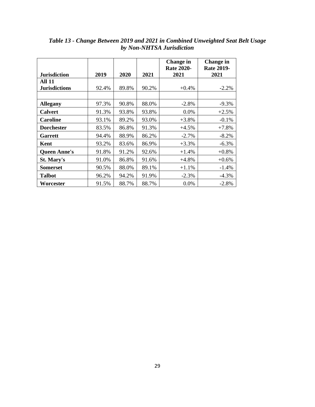|                      |       |       |       | Change in<br><b>Rate 2020-</b> | <b>Change in</b><br><b>Rate 2019-</b> |
|----------------------|-------|-------|-------|--------------------------------|---------------------------------------|
| <b>Jurisdiction</b>  | 2019  | 2020  | 2021  | 2021                           | 2021                                  |
| <b>All 11</b>        |       |       |       |                                |                                       |
| <b>Jurisdictions</b> | 92.4% | 89.8% | 90.2% | $+0.4\%$                       | $-2.2%$                               |
|                      |       |       |       |                                |                                       |
| <b>Allegany</b>      | 97.3% | 90.8% | 88.0% | $-2.8%$                        | $-9.3\%$                              |
| <b>Calvert</b>       | 91.3% | 93.8% | 93.8% | $0.0\%$                        | $+2.5%$                               |
| <b>Caroline</b>      | 93.1% | 89.2% | 93.0% | $+3.8\%$                       | $-0.1\%$                              |
| <b>Dorchester</b>    | 83.5% | 86.8% | 91.3% | $+4.5%$                        | $+7.8%$                               |
| Garrett              | 94.4% | 88.9% | 86.2% | $-2.7\%$                       | $-8.2\%$                              |
| Kent                 | 93.2% | 83.6% | 86.9% | $+3.3\%$                       | $-6.3\%$                              |
| <b>Queen Anne's</b>  | 91.8% | 91.2% | 92.6% | $+1.4%$                        | $+0.8\%$                              |
| St. Mary's           | 91.0% | 86.8% | 91.6% | $+4.8\%$                       | $+0.6%$                               |
| <b>Somerset</b>      | 90.5% | 88.0% | 89.1% | $+1.1\%$                       | $-1.4%$                               |
| <b>Talbot</b>        | 96.2% | 94.2% | 91.9% | $-2.3\%$                       | $-4.3\%$                              |
| Worcester            | 91.5% | 88.7% | 88.7% | $0.0\%$                        | $-2.8%$                               |

*Table 13 - Change Between 2019 and 2021 in Combined Unweighted Seat Belt Usage by Non-NHTSA Jurisdiction*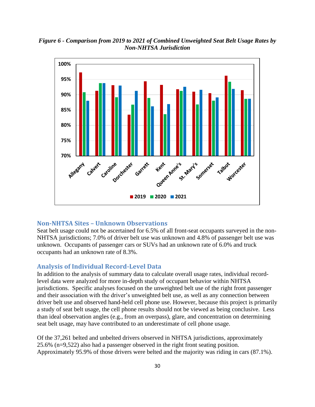*Figure 6 - Comparison from 2019 to 2021 of Combined Unweighted Seat Belt Usage Rates by Non-NHTSA Jurisdiction*



#### <span id="page-29-0"></span>**Non-NHTSA Sites – Unknown Observations**

Seat belt usage could not be ascertained for 6.5% of all front-seat occupants surveyed in the non-NHTSA jurisdictions; 7.0% of driver belt use was unknown and 4.8% of passenger belt use was unknown. Occupants of passenger cars or SUVs had an unknown rate of 6.0% and truck occupants had an unknown rate of 8.3%.

#### **Analysis of Individual Record-Level Data**

In addition to the analysis of summary data to calculate overall usage rates, individual recordlevel data were analyzed for more in-depth study of occupant behavior within NHTSA jurisdictions. Specific analyses focused on the unweighted belt use of the right front passenger and their association with the driver's unweighted belt use, as well as any connection between driver belt use and observed hand-held cell phone use. However, because this project is primarily a study of seat belt usage, the cell phone results should not be viewed as being conclusive. Less than ideal observation angles (e.g., from an overpass), glare, and concentration on determining seat belt usage, may have contributed to an underestimate of cell phone usage.

Of the 37,261 belted and unbelted drivers observed in NHTSA jurisdictions, approximately 25.6% (n=9,522) also had a passenger observed in the right front seating position. Approximately 95.9% of those drivers were belted and the majority was riding in cars (87.1%).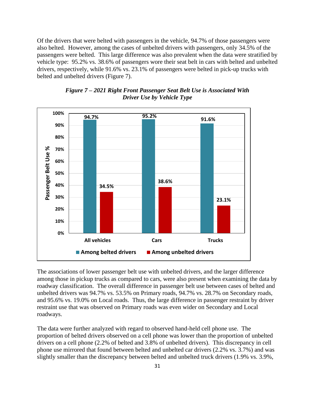Of the drivers that were belted with passengers in the vehicle, 94.7% of those passengers were also belted. However, among the cases of unbelted drivers with passengers, only 34.5% of the passengers were belted. This large difference was also prevalent when the data were stratified by vehicle type: 95.2% vs. 38.6% of passengers wore their seat belt in cars with belted and unbelted drivers, respectively, while 91.6% vs. 23.1% of passengers were belted in pick-up trucks with belted and unbelted drivers (Figure 7).





The associations of lower passenger belt use with unbelted drivers, and the larger difference among those in pickup trucks as compared to cars, were also present when examining the data by roadway classification. The overall difference in passenger belt use between cases of belted and unbelted drivers was 94.7% vs. 53.5% on Primary roads, 94.7% vs. 28.7% on Secondary roads, and 95.6% vs. 19.0% on Local roads. Thus, the large difference in passenger restraint by driver restraint use that was observed on Primary roads was even wider on Secondary and Local roadways.

The data were further analyzed with regard to observed hand-held cell phone use. The proportion of belted drivers observed on a cell phone was lower than the proportion of unbelted drivers on a cell phone (2.2% of belted and 3.8% of unbelted drivers). This discrepancy in cell phone use mirrored that found between belted and unbelted car drivers (2.2% vs. 3.7%) and was slightly smaller than the discrepancy between belted and unbelted truck drivers (1.9% vs. 3.9%,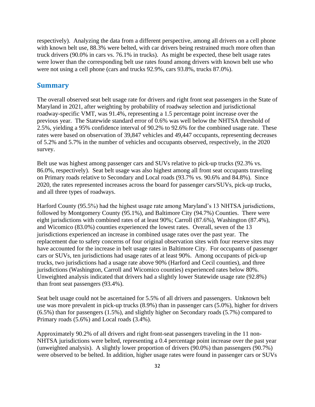respectively). Analyzing the data from a different perspective, among all drivers on a cell phone with known belt use, 88.3% were belted, with car drivers being restrained much more often than truck drivers (90.0% in cars vs. 76.1% in trucks). As might be expected, these belt usage rates were lower than the corresponding belt use rates found among drivers with known belt use who were not using a cell phone (cars and trucks 92.9%, cars 93.8%, trucks 87.0%).

#### <span id="page-31-0"></span>**Summary**

The overall observed seat belt usage rate for drivers and right front seat passengers in the State of Maryland in 2021, after weighting by probability of roadway selection and jurisdictional roadway-specific VMT, was 91.4%, representing a 1.5 percentage point increase over the previous year. The Statewide standard error of 0.6% was well below the NHTSA threshold of 2.5%, yielding a 95% confidence interval of 90.2% to 92.6% for the combined usage rate. These rates were based on observation of 39,847 vehicles and 49,447 occupants, representing decreases of 5.2% and 5.7% in the number of vehicles and occupants observed, respectively, in the 2020 survey.

Belt use was highest among passenger cars and SUVs relative to pick-up trucks (92.3% vs. 86.0%, respectively). Seat belt usage was also highest among all front seat occupants traveling on Primary roads relative to Secondary and Local roads (93.7% vs. 90.6% and 84.8%). Since 2020, the rates represented increases across the board for passenger cars/SUVs, pick-up trucks, and all three types of roadways.

Harford County (95.5%) had the highest usage rate among Maryland's 13 NHTSA jurisdictions, followed by Montgomery County (95.1%), and Baltimore City (94.7%) Counties. There were eight jurisdictions with combined rates of at least 90%; Carroll (87.6%), Washington (87.4%), and Wicomico (83.0%) counties experienced the lowest rates. Overall, seven of the 13 jurisdictions experienced an increase in combined usage rates over the past year. The replacement due to safety concerns of four original observation sites with four reserve sites may have accounted for the increase in belt usage rates in Baltimore City. For occupants of passenger cars or SUVs, ten jurisdictions had usage rates of at least 90%. Among occupants of pick-up trucks, two jurisdictions had a usage rate above 90% (Harford and Cecil counties), and three jurisdictions (Washington, Carroll and Wicomico counties) experienced rates below 80%. Unweighted analysis indicated that drivers had a slightly lower Statewide usage rate (92.8%) than front seat passengers (93.4%).

Seat belt usage could not be ascertained for 5.5% of all drivers and passengers. Unknown belt use was more prevalent in pick-up trucks (8.9%) than in passenger cars (5.0%), higher for drivers (6.5%) than for passengers (1.5%), and slightly higher on Secondary roads (5.7%) compared to Primary roads (5.6%) and Local roads (3.4%).

Approximately 90.2% of all drivers and right front-seat passengers traveling in the 11 non-NHTSA jurisdictions were belted, representing a 0.4 percentage point increase over the past year (unweighted analysis). A slightly lower proportion of drivers (90.0%) than passengers (90.7%) were observed to be belted. In addition, higher usage rates were found in passenger cars or SUVs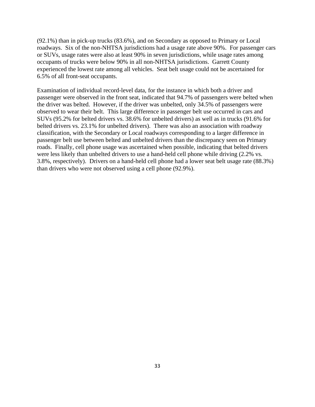(92.1%) than in pick-up trucks (83.6%), and on Secondary as opposed to Primary or Local roadways. Six of the non-NHTSA jurisdictions had a usage rate above 90%. For passenger cars or SUVs, usage rates were also at least 90% in seven jurisdictions, while usage rates among occupants of trucks were below 90% in all non-NHTSA jurisdictions. Garrett County experienced the lowest rate among all vehicles. Seat belt usage could not be ascertained for 6.5% of all front-seat occupants.

Examination of individual record-level data, for the instance in which both a driver and passenger were observed in the front seat, indicated that 94.7% of passengers were belted when the driver was belted. However, if the driver was unbelted, only 34.5% of passengers were observed to wear their belt. This large difference in passenger belt use occurred in cars and SUVs (95.2% for belted drivers vs. 38.6% for unbelted drivers) as well as in trucks (91.6% for belted drivers vs. 23.1% for unbelted drivers). There was also an association with roadway classification, with the Secondary or Local roadways corresponding to a larger difference in passenger belt use between belted and unbelted drivers than the discrepancy seen on Primary roads. Finally, cell phone usage was ascertained when possible, indicating that belted drivers were less likely than unbelted drivers to use a hand-held cell phone while driving  $(2.2\%$  vs. 3.8%, respectively). Drivers on a hand-held cell phone had a lower seat belt usage rate (88.3%) than drivers who were not observed using a cell phone (92.9%).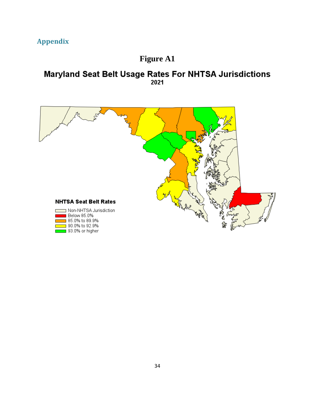## **Appendix**

## **Figure A1**

# **Maryland Seat Belt Usage Rates For NHTSA Jurisdictions**<br><sup>2021</sup>